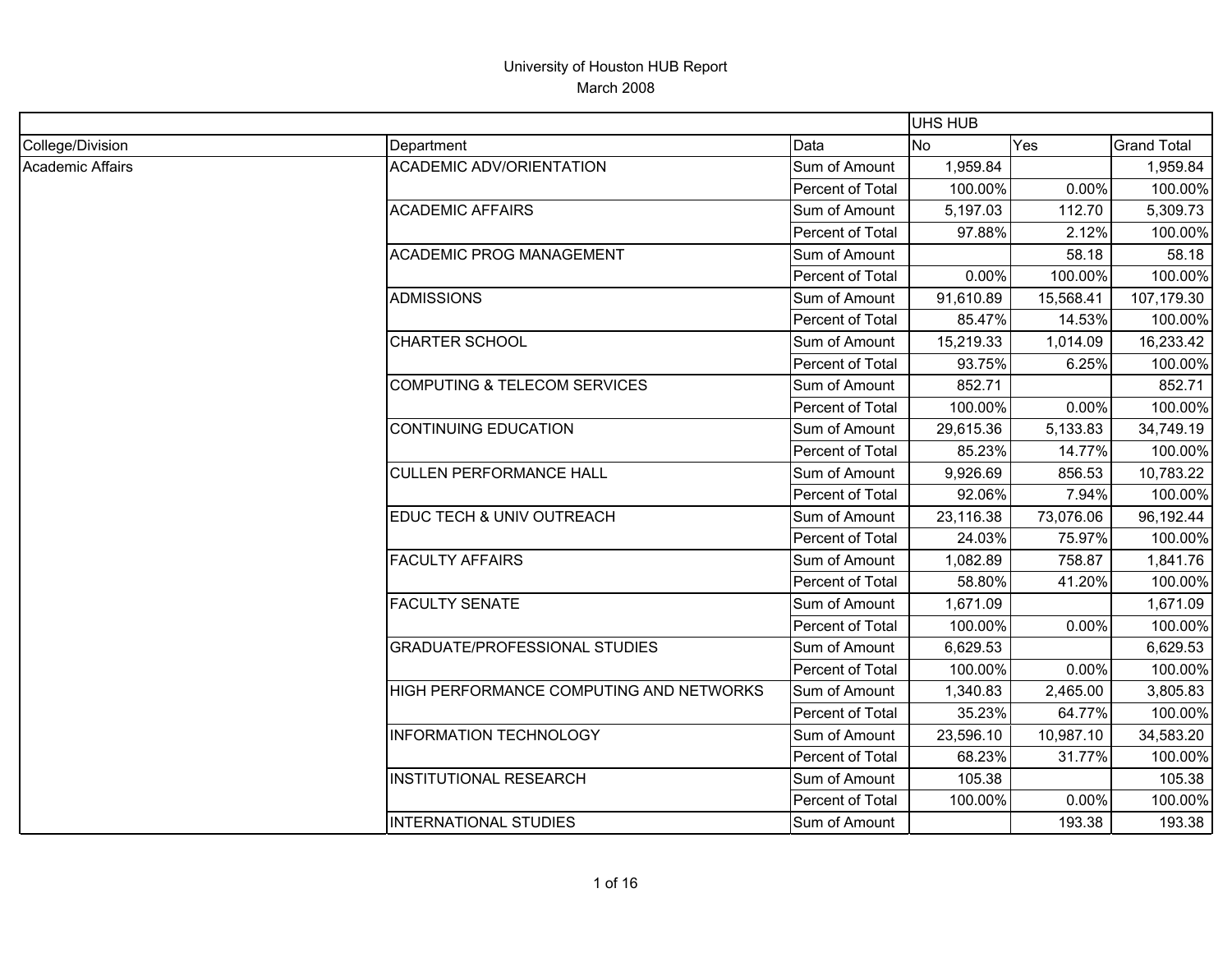|                         |                                                |                         | <b>UHS HUB</b> |           |                    |
|-------------------------|------------------------------------------------|-------------------------|----------------|-----------|--------------------|
| College/Division        | Department                                     | Data                    | No.            | Yes       | <b>Grand Total</b> |
| <b>Academic Affairs</b> | <b>ACADEMIC ADV/ORIENTATION</b>                | Sum of Amount           | 1,959.84       |           | 1,959.84           |
|                         |                                                | Percent of Total        | 100.00%        | 0.00%     | 100.00%            |
|                         | <b>ACADEMIC AFFAIRS</b>                        | Sum of Amount           | 5,197.03       | 112.70    | 5,309.73           |
|                         |                                                | Percent of Total        | 97.88%         | 2.12%     | 100.00%            |
|                         | <b>ACADEMIC PROG MANAGEMENT</b>                | Sum of Amount           |                | 58.18     | 58.18              |
|                         |                                                | <b>Percent of Total</b> | 0.00%          | 100.00%   | 100.00%            |
|                         | <b>ADMISSIONS</b>                              | Sum of Amount           | 91,610.89      | 15,568.41 | 107,179.30         |
|                         |                                                | Percent of Total        | 85.47%         | 14.53%    | 100.00%            |
|                         | <b>CHARTER SCHOOL</b>                          | Sum of Amount           | 15,219.33      | 1,014.09  | 16,233.42          |
|                         |                                                | Percent of Total        | 93.75%         | 6.25%     | 100.00%            |
|                         | <b>COMPUTING &amp; TELECOM SERVICES</b>        | Sum of Amount           | 852.71         |           | 852.71             |
|                         |                                                | Percent of Total        | 100.00%        | 0.00%     | 100.00%            |
|                         | <b>CONTINUING EDUCATION</b>                    | Sum of Amount           | 29,615.36      | 5,133.83  | 34,749.19          |
|                         |                                                | <b>Percent of Total</b> | 85.23%         | 14.77%    | 100.00%            |
|                         | <b>CULLEN PERFORMANCE HALL</b>                 | Sum of Amount           | 9,926.69       | 856.53    | 10,783.22          |
|                         |                                                | Percent of Total        | 92.06%         | 7.94%     | 100.00%            |
|                         | EDUC TECH & UNIV OUTREACH                      | Sum of Amount           | 23,116.38      | 73,076.06 | 96,192.44          |
|                         |                                                | Percent of Total        | 24.03%         | 75.97%    | 100.00%            |
|                         | <b>FACULTY AFFAIRS</b>                         | Sum of Amount           | 1,082.89       | 758.87    | 1,841.76           |
|                         |                                                | Percent of Total        | 58.80%         | 41.20%    | 100.00%            |
|                         | <b>FACULTY SENATE</b>                          | Sum of Amount           | 1,671.09       |           | 1,671.09           |
|                         |                                                | Percent of Total        | 100.00%        | 0.00%     | 100.00%            |
|                         | <b>GRADUATE/PROFESSIONAL STUDIES</b>           | Sum of Amount           | 6,629.53       |           | 6,629.53           |
|                         |                                                | Percent of Total        | 100.00%        | 0.00%     | 100.00%            |
|                         | <b>HIGH PERFORMANCE COMPUTING AND NETWORKS</b> | Sum of Amount           | 1,340.83       | 2,465.00  | 3,805.83           |
|                         |                                                | Percent of Total        | 35.23%         | 64.77%    | 100.00%            |
|                         | <b>INFORMATION TECHNOLOGY</b>                  | Sum of Amount           | 23,596.10      | 10,987.10 | 34,583.20          |
|                         |                                                | Percent of Total        | 68.23%         | 31.77%    | 100.00%            |
|                         | <b>INSTITUTIONAL RESEARCH</b>                  | Sum of Amount           | 105.38         |           | 105.38             |
|                         |                                                | Percent of Total        | 100.00%        | 0.00%     | 100.00%            |
|                         | <b>INTERNATIONAL STUDIES</b>                   | Sum of Amount           |                | 193.38    | 193.38             |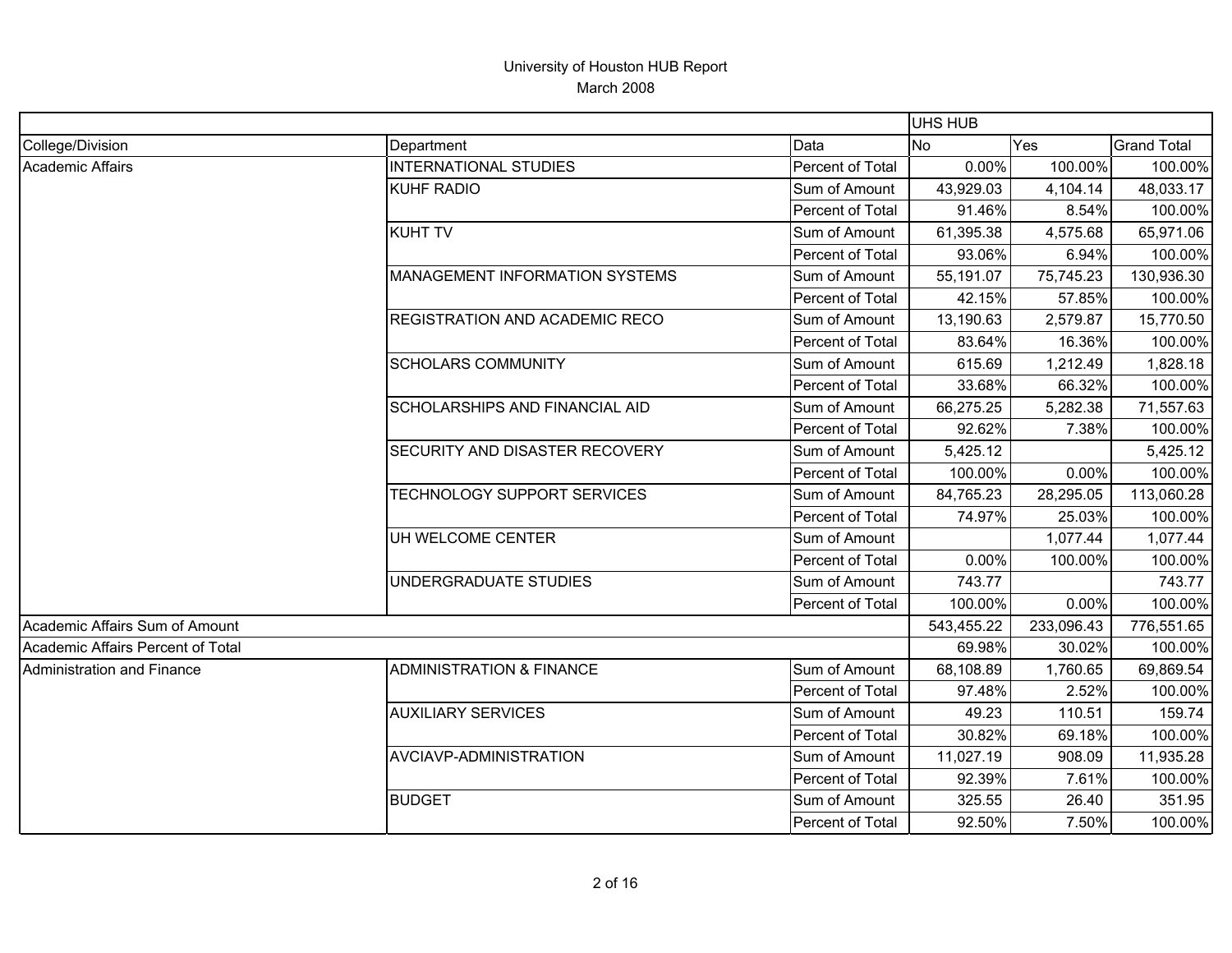|                                   |                                       |                  | UHS HUB    |            |                    |
|-----------------------------------|---------------------------------------|------------------|------------|------------|--------------------|
| College/Division                  | Department                            | Data             | <b>No</b>  | Yes        | <b>Grand Total</b> |
| Academic Affairs                  | <b>INTERNATIONAL STUDIES</b>          | Percent of Total | 0.00%      | 100.00%    | 100.00%            |
|                                   | <b>KUHF RADIO</b>                     | Sum of Amount    | 43,929.03  | 4,104.14   | 48,033.17          |
|                                   |                                       | Percent of Total | 91.46%     | 8.54%      | 100.00%            |
|                                   | <b>KUHT TV</b>                        | Sum of Amount    | 61,395.38  | 4,575.68   | 65,971.06          |
|                                   |                                       | Percent of Total | 93.06%     | 6.94%      | 100.00%            |
|                                   | MANAGEMENT INFORMATION SYSTEMS        | Sum of Amount    | 55,191.07  | 75,745.23  | 130,936.30         |
|                                   |                                       | Percent of Total | 42.15%     | 57.85%     | 100.00%            |
|                                   | <b>REGISTRATION AND ACADEMIC RECO</b> | Sum of Amount    | 13,190.63  | 2,579.87   | 15,770.50          |
|                                   |                                       | Percent of Total | 83.64%     | 16.36%     | 100.00%            |
|                                   | <b>SCHOLARS COMMUNITY</b>             | Sum of Amount    | 615.69     | 1,212.49   | 1,828.18           |
|                                   |                                       | Percent of Total | 33.68%     | 66.32%     | 100.00%            |
|                                   | <b>SCHOLARSHIPS AND FINANCIAL AID</b> | Sum of Amount    | 66,275.25  | 5,282.38   | 71,557.63          |
|                                   |                                       | Percent of Total | 92.62%     | 7.38%      | 100.00%            |
|                                   | SECURITY AND DISASTER RECOVERY        | Sum of Amount    | 5,425.12   |            | 5,425.12           |
|                                   |                                       | Percent of Total | 100.00%    | 0.00%      | 100.00%            |
|                                   | TECHNOLOGY SUPPORT SERVICES           | Sum of Amount    | 84,765.23  | 28,295.05  | 113,060.28         |
|                                   |                                       | Percent of Total | 74.97%     | 25.03%     | 100.00%            |
|                                   | UH WELCOME CENTER                     | Sum of Amount    |            | 1,077.44   | 1,077.44           |
|                                   |                                       | Percent of Total | 0.00%      | 100.00%    | 100.00%            |
|                                   | UNDERGRADUATE STUDIES                 | Sum of Amount    | 743.77     |            | 743.77             |
|                                   |                                       | Percent of Total | 100.00%    | 0.00%      | 100.00%            |
| Academic Affairs Sum of Amount    |                                       |                  | 543,455.22 | 233,096.43 | 776,551.65         |
| Academic Affairs Percent of Total |                                       |                  | 69.98%     | 30.02%     | 100.00%            |
| Administration and Finance        | <b>ADMINISTRATION &amp; FINANCE</b>   | Sum of Amount    | 68,108.89  | 1,760.65   | 69,869.54          |
|                                   |                                       | Percent of Total | 97.48%     | 2.52%      | 100.00%            |
|                                   | <b>AUXILIARY SERVICES</b>             | Sum of Amount    | 49.23      | 110.51     | 159.74             |
|                                   |                                       | Percent of Total | 30.82%     | 69.18%     | 100.00%            |
|                                   | AVCIAVP-ADMINISTRATION                | Sum of Amount    | 11,027.19  | 908.09     | 11,935.28          |
|                                   |                                       | Percent of Total | 92.39%     | 7.61%      | 100.00%            |
|                                   | <b>BUDGET</b>                         | Sum of Amount    | 325.55     | 26.40      | 351.95             |
|                                   |                                       | Percent of Total | 92.50%     | 7.50%      | 100.00%            |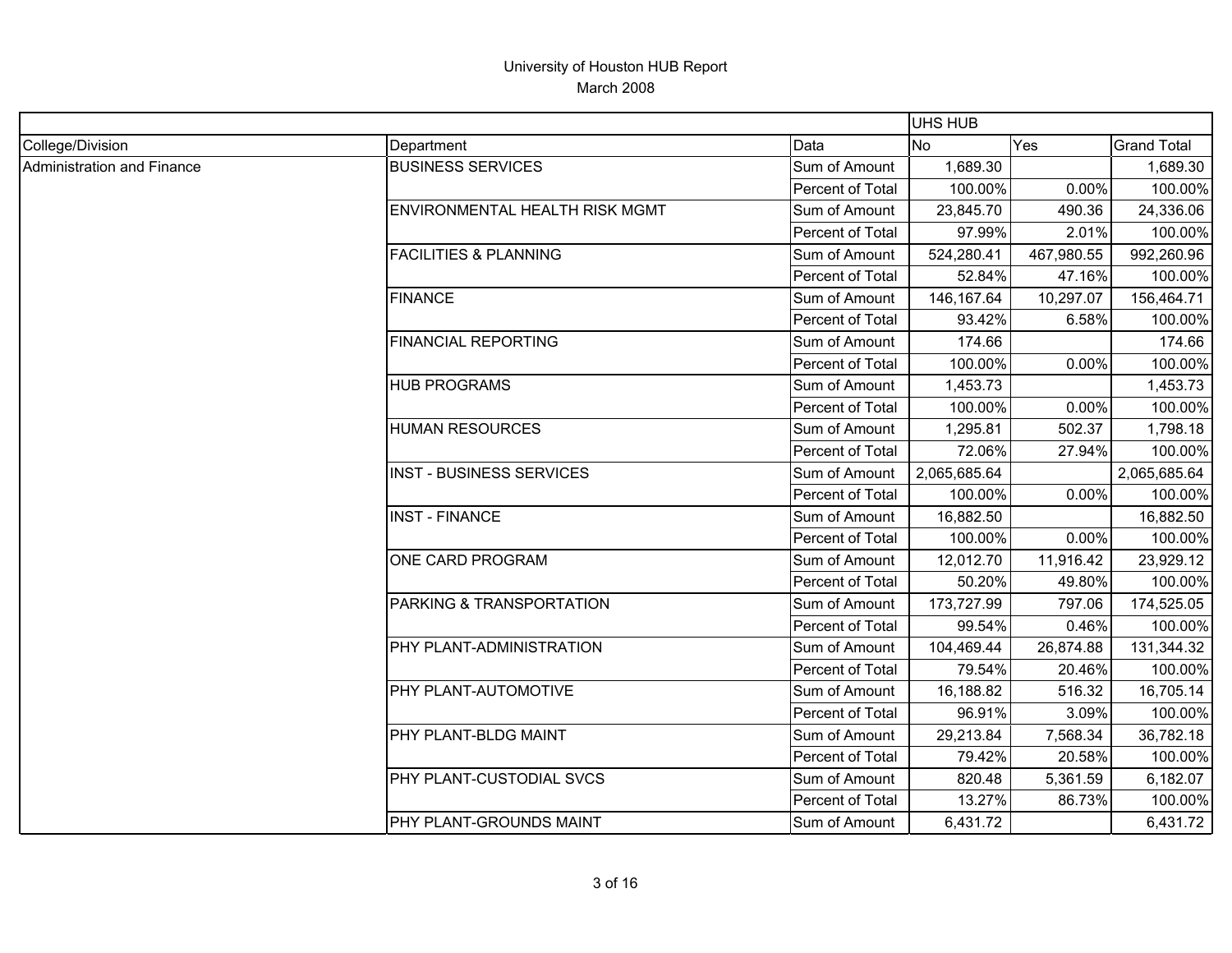|                            |                                       |                  | <b>UHS HUB</b> |            |                    |
|----------------------------|---------------------------------------|------------------|----------------|------------|--------------------|
| College/Division           | Department                            | Data             | No             | Yes        | <b>Grand Total</b> |
| Administration and Finance | <b>BUSINESS SERVICES</b>              | Sum of Amount    | 1,689.30       |            | 1,689.30           |
|                            |                                       | Percent of Total | 100.00%        | 0.00%      | 100.00%            |
|                            | <b>ENVIRONMENTAL HEALTH RISK MGMT</b> | Sum of Amount    | 23,845.70      | 490.36     | 24,336.06          |
|                            |                                       | Percent of Total | 97.99%         | 2.01%      | 100.00%            |
|                            | <b>FACILITIES &amp; PLANNING</b>      | Sum of Amount    | 524,280.41     | 467,980.55 | 992,260.96         |
|                            |                                       | Percent of Total | 52.84%         | 47.16%     | 100.00%            |
|                            | <b>FINANCE</b>                        | Sum of Amount    | 146,167.64     | 10,297.07  | 156,464.71         |
|                            |                                       | Percent of Total | 93.42%         | 6.58%      | 100.00%            |
|                            | <b>FINANCIAL REPORTING</b>            | Sum of Amount    | 174.66         |            | 174.66             |
|                            |                                       | Percent of Total | 100.00%        | 0.00%      | 100.00%            |
|                            | <b>HUB PROGRAMS</b>                   | Sum of Amount    | 1,453.73       |            | 1,453.73           |
|                            |                                       | Percent of Total | 100.00%        | 0.00%      | 100.00%            |
|                            | <b>HUMAN RESOURCES</b>                | Sum of Amount    | 1,295.81       | 502.37     | 1,798.18           |
|                            |                                       | Percent of Total | 72.06%         | 27.94%     | 100.00%            |
|                            | <b>INST - BUSINESS SERVICES</b>       | Sum of Amount    | 2,065,685.64   |            | 2,065,685.64       |
|                            |                                       | Percent of Total | 100.00%        | 0.00%      | 100.00%            |
|                            | <b>INST - FINANCE</b>                 | Sum of Amount    | 16,882.50      |            | 16,882.50          |
|                            |                                       | Percent of Total | 100.00%        | 0.00%      | 100.00%            |
|                            | ONE CARD PROGRAM                      | Sum of Amount    | 12,012.70      | 11,916.42  | 23,929.12          |
|                            |                                       | Percent of Total | 50.20%         | 49.80%     | 100.00%            |
|                            | PARKING & TRANSPORTATION              | Sum of Amount    | 173,727.99     | 797.06     | 174,525.05         |
|                            |                                       | Percent of Total | 99.54%         | 0.46%      | 100.00%            |
|                            | PHY PLANT-ADMINISTRATION              | Sum of Amount    | 104,469.44     | 26,874.88  | 131,344.32         |
|                            |                                       | Percent of Total | 79.54%         | 20.46%     | 100.00%            |
|                            | PHY PLANT-AUTOMOTIVE                  | Sum of Amount    | 16,188.82      | 516.32     | 16,705.14          |
|                            |                                       | Percent of Total | 96.91%         | 3.09%      | 100.00%            |
|                            | PHY PLANT-BLDG MAINT                  | Sum of Amount    | 29,213.84      | 7,568.34   | 36,782.18          |
|                            |                                       | Percent of Total | 79.42%         | 20.58%     | 100.00%            |
|                            | PHY PLANT-CUSTODIAL SVCS              | Sum of Amount    | 820.48         | 5,361.59   | 6,182.07           |
|                            |                                       | Percent of Total | 13.27%         | 86.73%     | 100.00%            |
|                            | PHY PLANT-GROUNDS MAINT               | Sum of Amount    | 6,431.72       |            | 6,431.72           |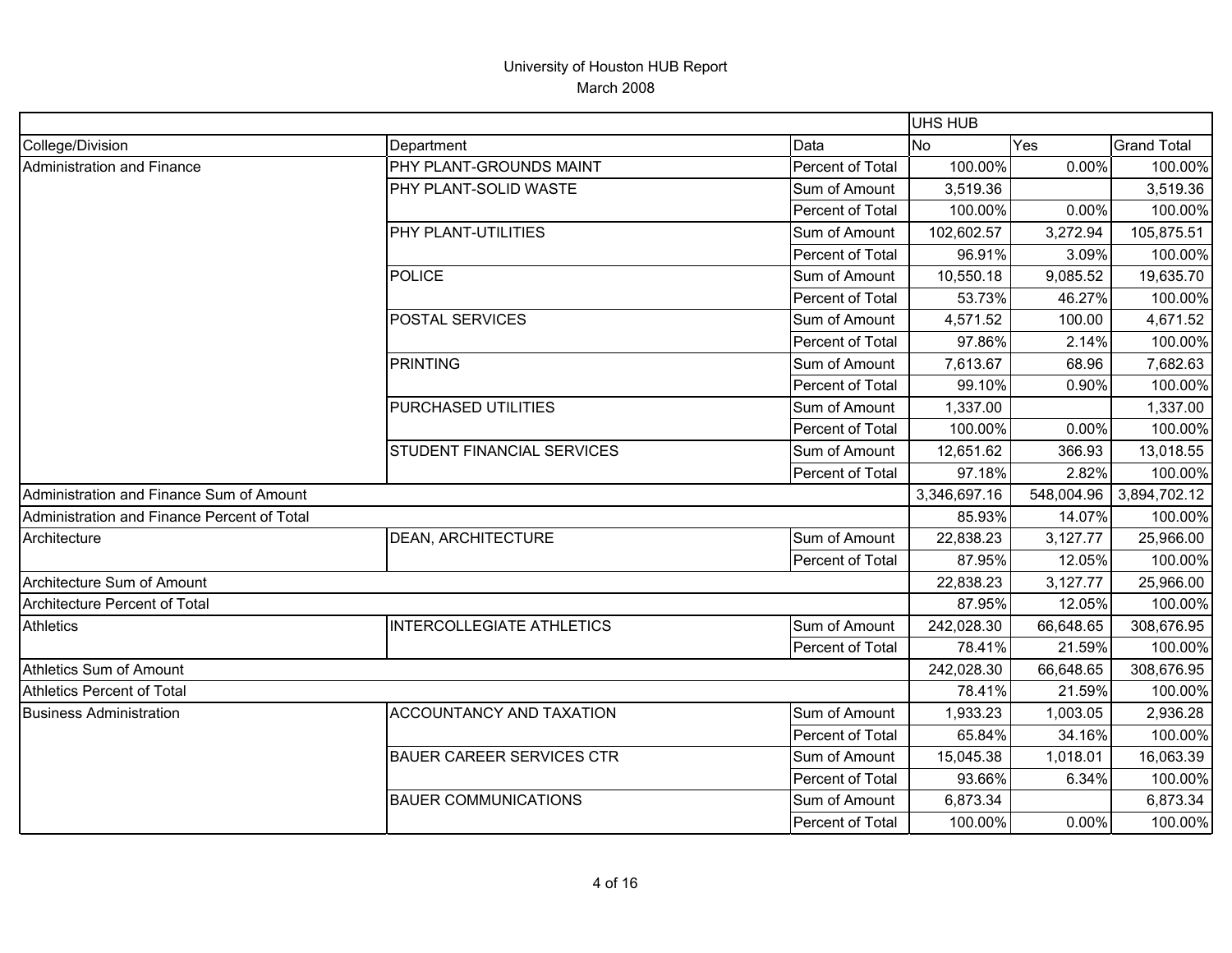|                                             |                                  |                         | <b>UHS HUB</b> |            |                    |
|---------------------------------------------|----------------------------------|-------------------------|----------------|------------|--------------------|
| College/Division                            | Department                       | Data                    | <b>No</b>      | Yes        | <b>Grand Total</b> |
| Administration and Finance                  | PHY PLANT-GROUNDS MAINT          | Percent of Total        | 100.00%        | 0.00%      | 100.00%            |
|                                             | PHY PLANT-SOLID WASTE            | Sum of Amount           | 3,519.36       |            | 3,519.36           |
|                                             |                                  | Percent of Total        | 100.00%        | 0.00%      | 100.00%            |
|                                             | PHY PLANT-UTILITIES              | Sum of Amount           | 102,602.57     | 3,272.94   | 105,875.51         |
|                                             |                                  | Percent of Total        | 96.91%         | 3.09%      | 100.00%            |
|                                             | <b>POLICE</b>                    | Sum of Amount           | 10,550.18      | 9,085.52   | 19,635.70          |
|                                             |                                  | Percent of Total        | 53.73%         | 46.27%     | 100.00%            |
|                                             | POSTAL SERVICES                  | Sum of Amount           | 4,571.52       | 100.00     | 4,671.52           |
|                                             |                                  | Percent of Total        | 97.86%         | 2.14%      | 100.00%            |
|                                             | <b>PRINTING</b>                  | Sum of Amount           | 7,613.67       | 68.96      | 7,682.63           |
|                                             |                                  | Percent of Total        | 99.10%         | 0.90%      | 100.00%            |
|                                             | PURCHASED UTILITIES              | Sum of Amount           | 1,337.00       |            | 1,337.00           |
|                                             |                                  | <b>Percent of Total</b> | 100.00%        | 0.00%      | 100.00%            |
|                                             | STUDENT FINANCIAL SERVICES       | Sum of Amount           | 12,651.62      | 366.93     | 13,018.55          |
|                                             |                                  | Percent of Total        | 97.18%         | 2.82%      | 100.00%            |
| Administration and Finance Sum of Amount    |                                  |                         | 3,346,697.16   | 548,004.96 | 3,894,702.12       |
| Administration and Finance Percent of Total |                                  |                         | 85.93%         | 14.07%     | 100.00%            |
| Architecture                                | DEAN, ARCHITECTURE               | Sum of Amount           | 22,838.23      | 3,127.77   | 25,966.00          |
|                                             |                                  | Percent of Total        | 87.95%         | 12.05%     | 100.00%            |
| Architecture Sum of Amount                  |                                  |                         | 22,838.23      | 3,127.77   | 25,966.00          |
| Architecture Percent of Total               |                                  |                         | 87.95%         | 12.05%     | 100.00%            |
| <b>Athletics</b>                            | <b>INTERCOLLEGIATE ATHLETICS</b> | Sum of Amount           | 242,028.30     | 66,648.65  | 308,676.95         |
|                                             |                                  | Percent of Total        | 78.41%         | 21.59%     | 100.00%            |
| <b>Athletics Sum of Amount</b>              |                                  |                         | 242,028.30     | 66,648.65  | 308,676.95         |
| <b>Athletics Percent of Total</b>           |                                  |                         | 78.41%         | 21.59%     | 100.00%            |
| <b>Business Administration</b>              | <b>ACCOUNTANCY AND TAXATION</b>  | Sum of Amount           | 1,933.23       | 1,003.05   | 2,936.28           |
|                                             |                                  | Percent of Total        | 65.84%         | 34.16%     | 100.00%            |
|                                             | <b>BAUER CAREER SERVICES CTR</b> | Sum of Amount           | 15,045.38      | 1,018.01   | 16,063.39          |
|                                             |                                  | Percent of Total        | 93.66%         | 6.34%      | 100.00%            |
|                                             | <b>BAUER COMMUNICATIONS</b>      | Sum of Amount           | 6,873.34       |            | 6,873.34           |
|                                             |                                  | Percent of Total        | 100.00%        | 0.00%      | 100.00%            |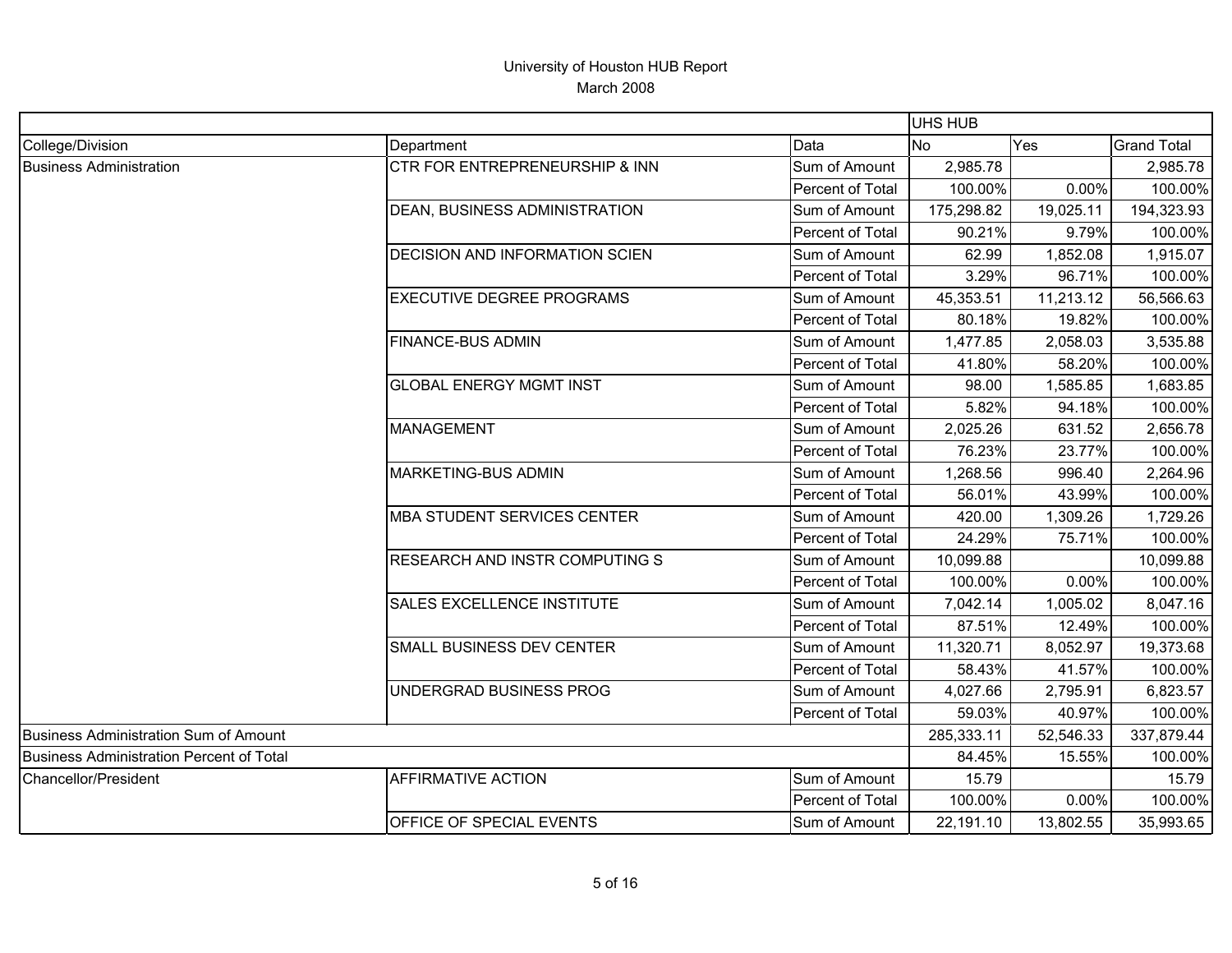|                                          |                                           |                         | <b>UHS HUB</b> |           |                    |
|------------------------------------------|-------------------------------------------|-------------------------|----------------|-----------|--------------------|
| College/Division                         | Department                                | Data                    | <b>No</b>      | Yes       | <b>Grand Total</b> |
| <b>Business Administration</b>           | <b>CTR FOR ENTREPRENEURSHIP &amp; INN</b> | Sum of Amount           | 2,985.78       |           | 2,985.78           |
|                                          |                                           | Percent of Total        | 100.00%        | 0.00%     | 100.00%            |
|                                          | DEAN, BUSINESS ADMINISTRATION             | Sum of Amount           | 175,298.82     | 19,025.11 | 194,323.93         |
|                                          |                                           | Percent of Total        | 90.21%         | 9.79%     | 100.00%            |
|                                          | <b>DECISION AND INFORMATION SCIEN</b>     | Sum of Amount           | 62.99          | 1,852.08  | 1,915.07           |
|                                          |                                           | Percent of Total        | 3.29%          | 96.71%    | 100.00%            |
|                                          | <b>EXECUTIVE DEGREE PROGRAMS</b>          | Sum of Amount           | 45,353.51      | 11,213.12 | 56,566.63          |
|                                          |                                           | Percent of Total        | 80.18%         | 19.82%    | 100.00%            |
|                                          | <b>FINANCE-BUS ADMIN</b>                  | Sum of Amount           | 1,477.85       | 2,058.03  | 3,535.88           |
|                                          |                                           | Percent of Total        | 41.80%         | 58.20%    | 100.00%            |
|                                          | <b>GLOBAL ENERGY MGMT INST</b>            | Sum of Amount           | 98.00          | 1,585.85  | 1,683.85           |
|                                          |                                           | Percent of Total        | 5.82%          | 94.18%    | 100.00%            |
|                                          | <b>MANAGEMENT</b>                         | Sum of Amount           | 2,025.26       | 631.52    | 2,656.78           |
|                                          |                                           | Percent of Total        | 76.23%         | 23.77%    | 100.00%            |
|                                          | MARKETING-BUS ADMIN                       | Sum of Amount           | 1,268.56       | 996.40    | 2,264.96           |
|                                          |                                           | Percent of Total        | 56.01%         | 43.99%    | 100.00%            |
|                                          | <b>MBA STUDENT SERVICES CENTER</b>        | Sum of Amount           | 420.00         | 1,309.26  | 1,729.26           |
|                                          |                                           | <b>Percent of Total</b> | 24.29%         | 75.71%    | 100.00%            |
|                                          | <b>RESEARCH AND INSTR COMPUTING S</b>     | Sum of Amount           | 10,099.88      |           | 10,099.88          |
|                                          |                                           | Percent of Total        | 100.00%        | 0.00%     | 100.00%            |
|                                          | <b>SALES EXCELLENCE INSTITUTE</b>         | Sum of Amount           | 7,042.14       | 1,005.02  | 8,047.16           |
|                                          |                                           | <b>Percent of Total</b> | 87.51%         | 12.49%    | 100.00%            |
|                                          | SMALL BUSINESS DEV CENTER                 | Sum of Amount           | 11,320.71      | 8,052.97  | 19,373.68          |
|                                          |                                           | Percent of Total        | 58.43%         | 41.57%    | 100.00%            |
|                                          | UNDERGRAD BUSINESS PROG                   | Sum of Amount           | 4,027.66       | 2,795.91  | 6,823.57           |
|                                          |                                           | Percent of Total        | 59.03%         | 40.97%    | 100.00%            |
| Business Administration Sum of Amount    |                                           |                         | 285,333.11     | 52,546.33 | 337,879.44         |
| Business Administration Percent of Total |                                           |                         | 84.45%         | 15.55%    | 100.00%            |
| Chancellor/President                     | <b>AFFIRMATIVE ACTION</b>                 | Sum of Amount           | 15.79          |           | 15.79              |
|                                          |                                           | Percent of Total        | 100.00%        | 0.00%     | 100.00%            |
|                                          | OFFICE OF SPECIAL EVENTS                  | Sum of Amount           | 22,191.10      | 13,802.55 | 35,993.65          |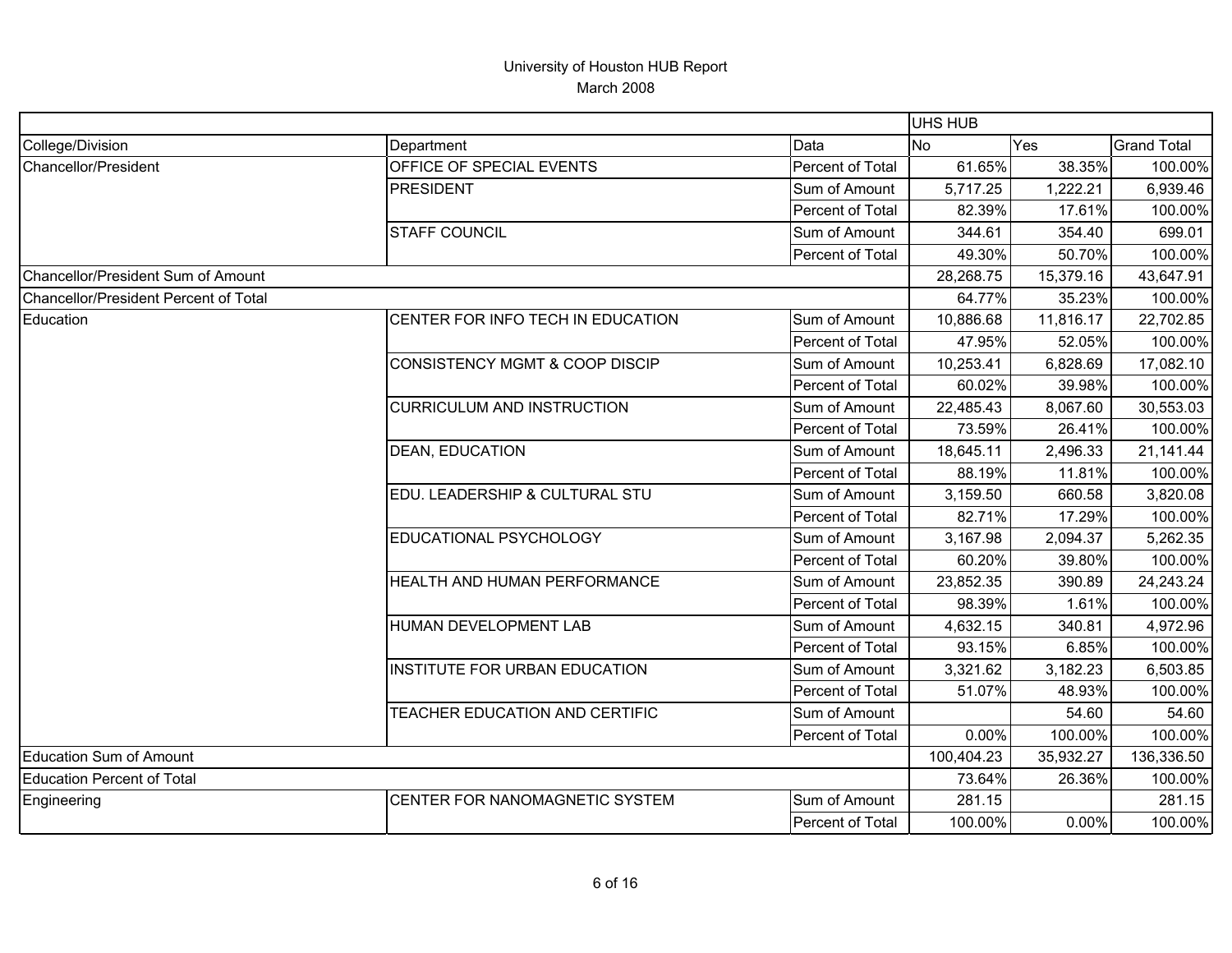|                                       |                                           |                  | <b>UHS HUB</b> |           |                    |
|---------------------------------------|-------------------------------------------|------------------|----------------|-----------|--------------------|
| College/Division                      | Department                                | Data             | <b>No</b>      | Yes       | <b>Grand Total</b> |
| Chancellor/President                  | OFFICE OF SPECIAL EVENTS                  | Percent of Total | 61.65%         | 38.35%    | 100.00%            |
|                                       | <b>PRESIDENT</b>                          | Sum of Amount    | 5,717.25       | 1,222.21  | 6,939.46           |
|                                       |                                           | Percent of Total | 82.39%         | 17.61%    | 100.00%            |
|                                       | <b>STAFF COUNCIL</b>                      | Sum of Amount    | 344.61         | 354.40    | 699.01             |
|                                       |                                           | Percent of Total | 49.30%         | 50.70%    | 100.00%            |
| Chancellor/President Sum of Amount    |                                           |                  | 28,268.75      | 15,379.16 | 43,647.91          |
| Chancellor/President Percent of Total |                                           |                  | 64.77%         | 35.23%    | 100.00%            |
| Education                             | CENTER FOR INFO TECH IN EDUCATION         | Sum of Amount    | 10,886.68      | 11,816.17 | 22,702.85          |
|                                       |                                           | Percent of Total | 47.95%         | 52.05%    | 100.00%            |
|                                       | <b>CONSISTENCY MGMT &amp; COOP DISCIP</b> | Sum of Amount    | 10,253.41      | 6,828.69  | 17,082.10          |
|                                       |                                           | Percent of Total | 60.02%         | 39.98%    | 100.00%            |
|                                       | <b>CURRICULUM AND INSTRUCTION</b>         | Sum of Amount    | 22,485.43      | 8,067.60  | 30,553.03          |
|                                       |                                           | Percent of Total | 73.59%         | 26.41%    | 100.00%            |
|                                       | <b>DEAN, EDUCATION</b>                    | Sum of Amount    | 18,645.11      | 2,496.33  | 21,141.44          |
|                                       |                                           | Percent of Total | 88.19%         | 11.81%    | 100.00%            |
|                                       | EDU. LEADERSHIP & CULTURAL STU            | Sum of Amount    | 3,159.50       | 660.58    | 3,820.08           |
|                                       |                                           | Percent of Total | 82.71%         | 17.29%    | 100.00%            |
|                                       | <b>EDUCATIONAL PSYCHOLOGY</b>             | Sum of Amount    | 3,167.98       | 2,094.37  | 5,262.35           |
|                                       |                                           | Percent of Total | 60.20%         | 39.80%    | 100.00%            |
|                                       | HEALTH AND HUMAN PERFORMANCE              | Sum of Amount    | 23,852.35      | 390.89    | 24,243.24          |
|                                       |                                           | Percent of Total | 98.39%         | 1.61%     | 100.00%            |
|                                       | HUMAN DEVELOPMENT LAB                     | Sum of Amount    | 4,632.15       | 340.81    | 4,972.96           |
|                                       |                                           | Percent of Total | 93.15%         | 6.85%     | 100.00%            |
|                                       | INSTITUTE FOR URBAN EDUCATION             | Sum of Amount    | 3,321.62       | 3,182.23  | 6,503.85           |
|                                       |                                           | Percent of Total | 51.07%         | 48.93%    | 100.00%            |
|                                       | TEACHER EDUCATION AND CERTIFIC            | Sum of Amount    |                | 54.60     | 54.60              |
|                                       |                                           | Percent of Total | 0.00%          | 100.00%   | 100.00%            |
| <b>Education Sum of Amount</b>        |                                           |                  | 100,404.23     | 35,932.27 | 136,336.50         |
| <b>Education Percent of Total</b>     |                                           |                  | 73.64%         | 26.36%    | 100.00%            |
| Engineering                           | CENTER FOR NANOMAGNETIC SYSTEM            | Sum of Amount    | 281.15         |           | 281.15             |
|                                       |                                           | Percent of Total | 100.00%        | 0.00%     | 100.00%            |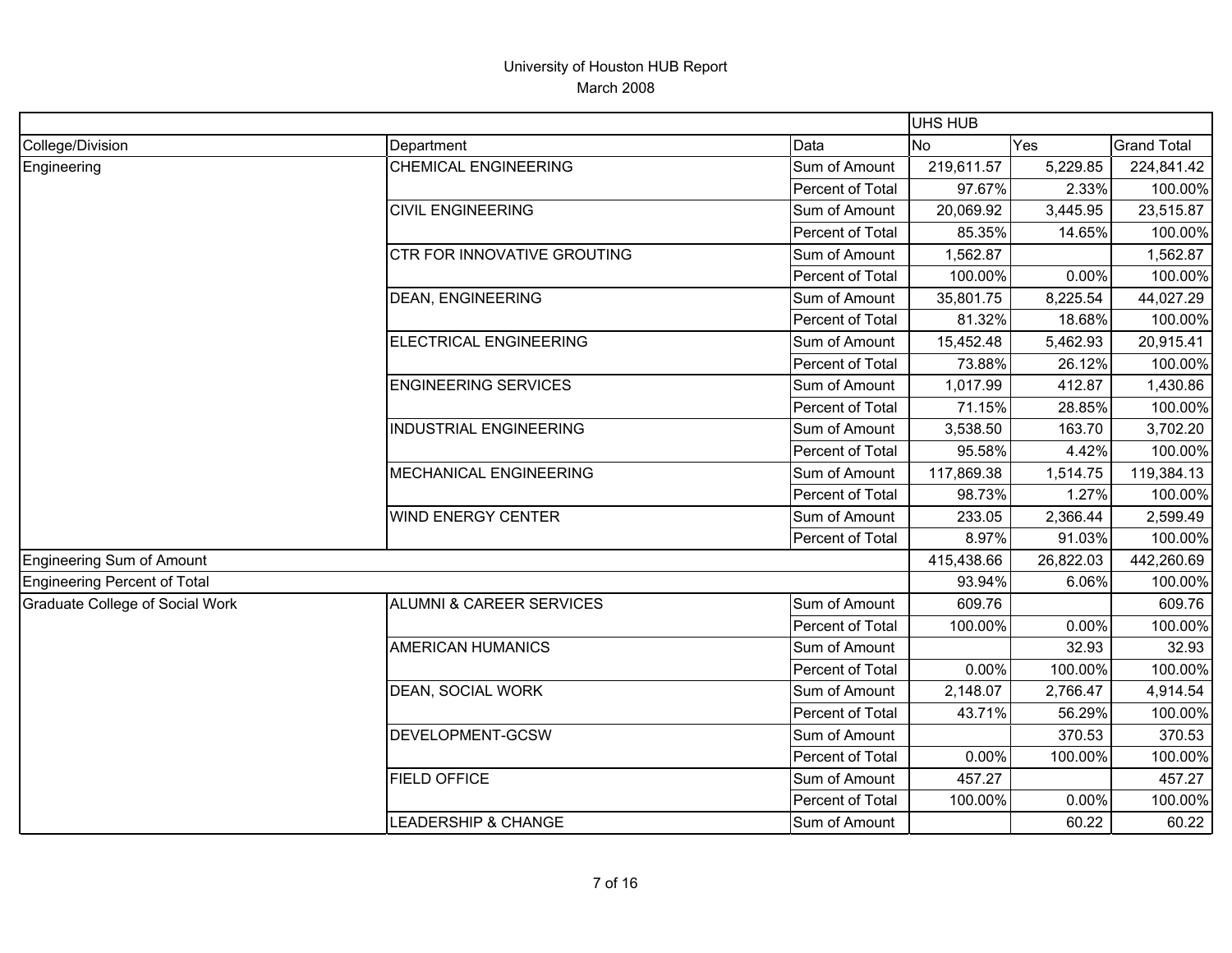|                                        |                                     |                  | <b>UHS HUB</b> |           |                    |
|----------------------------------------|-------------------------------------|------------------|----------------|-----------|--------------------|
| College/Division                       | Department                          | Data             | <b>No</b>      | Yes       | <b>Grand Total</b> |
| Engineering                            | <b>CHEMICAL ENGINEERING</b>         | Sum of Amount    | 219,611.57     | 5,229.85  | 224,841.42         |
|                                        |                                     | Percent of Total | 97.67%         | 2.33%     | 100.00%            |
|                                        | <b>CIVIL ENGINEERING</b>            | Sum of Amount    | 20,069.92      | 3,445.95  | 23,515.87          |
|                                        |                                     | Percent of Total | 85.35%         | 14.65%    | 100.00%            |
|                                        | <b>CTR FOR INNOVATIVE GROUTING</b>  | Sum of Amount    | 1,562.87       |           | 1,562.87           |
|                                        |                                     | Percent of Total | 100.00%        | 0.00%     | 100.00%            |
|                                        | <b>DEAN, ENGINEERING</b>            | Sum of Amount    | 35,801.75      | 8,225.54  | 44,027.29          |
|                                        |                                     | Percent of Total | 81.32%         | 18.68%    | 100.00%            |
|                                        | <b>ELECTRICAL ENGINEERING</b>       | Sum of Amount    | 15,452.48      | 5,462.93  | 20,915.41          |
|                                        |                                     | Percent of Total | 73.88%         | 26.12%    | 100.00%            |
|                                        | <b>ENGINEERING SERVICES</b>         | Sum of Amount    | 1,017.99       | 412.87    | 1,430.86           |
|                                        |                                     | Percent of Total | 71.15%         | 28.85%    | 100.00%            |
|                                        | <b>INDUSTRIAL ENGINEERING</b>       | Sum of Amount    | 3,538.50       | 163.70    | 3,702.20           |
|                                        |                                     | Percent of Total | 95.58%         | 4.42%     | 100.00%            |
|                                        | <b>MECHANICAL ENGINEERING</b>       | Sum of Amount    | 117,869.38     | 1,514.75  | 119,384.13         |
|                                        |                                     | Percent of Total | 98.73%         | 1.27%     | 100.00%            |
|                                        | <b>WIND ENERGY CENTER</b>           | Sum of Amount    | 233.05         | 2,366.44  | 2,599.49           |
|                                        |                                     | Percent of Total | 8.97%          | 91.03%    | 100.00%            |
| Engineering Sum of Amount              |                                     |                  | 415,438.66     | 26,822.03 | 442,260.69         |
| Engineering Percent of Total           |                                     |                  | 93.94%         | 6.06%     | 100.00%            |
| <b>Graduate College of Social Work</b> | <b>ALUMNI &amp; CAREER SERVICES</b> | Sum of Amount    | 609.76         |           | 609.76             |
|                                        |                                     | Percent of Total | 100.00%        | 0.00%     | 100.00%            |
|                                        | <b>AMERICAN HUMANICS</b>            | Sum of Amount    |                | 32.93     | 32.93              |
|                                        |                                     | Percent of Total | 0.00%          | 100.00%   | 100.00%            |
|                                        | <b>DEAN, SOCIAL WORK</b>            | Sum of Amount    | 2,148.07       | 2,766.47  | 4,914.54           |
|                                        |                                     | Percent of Total | 43.71%         | 56.29%    | 100.00%            |
|                                        | <b>DEVELOPMENT-GCSW</b>             | Sum of Amount    |                | 370.53    | 370.53             |
|                                        |                                     | Percent of Total | 0.00%          | 100.00%   | 100.00%            |
|                                        | <b>FIELD OFFICE</b>                 | Sum of Amount    | 457.27         |           | 457.27             |
|                                        |                                     | Percent of Total | 100.00%        | 0.00%     | 100.00%            |
|                                        | <b>LEADERSHIP &amp; CHANGE</b>      | Sum of Amount    |                | 60.22     | 60.22              |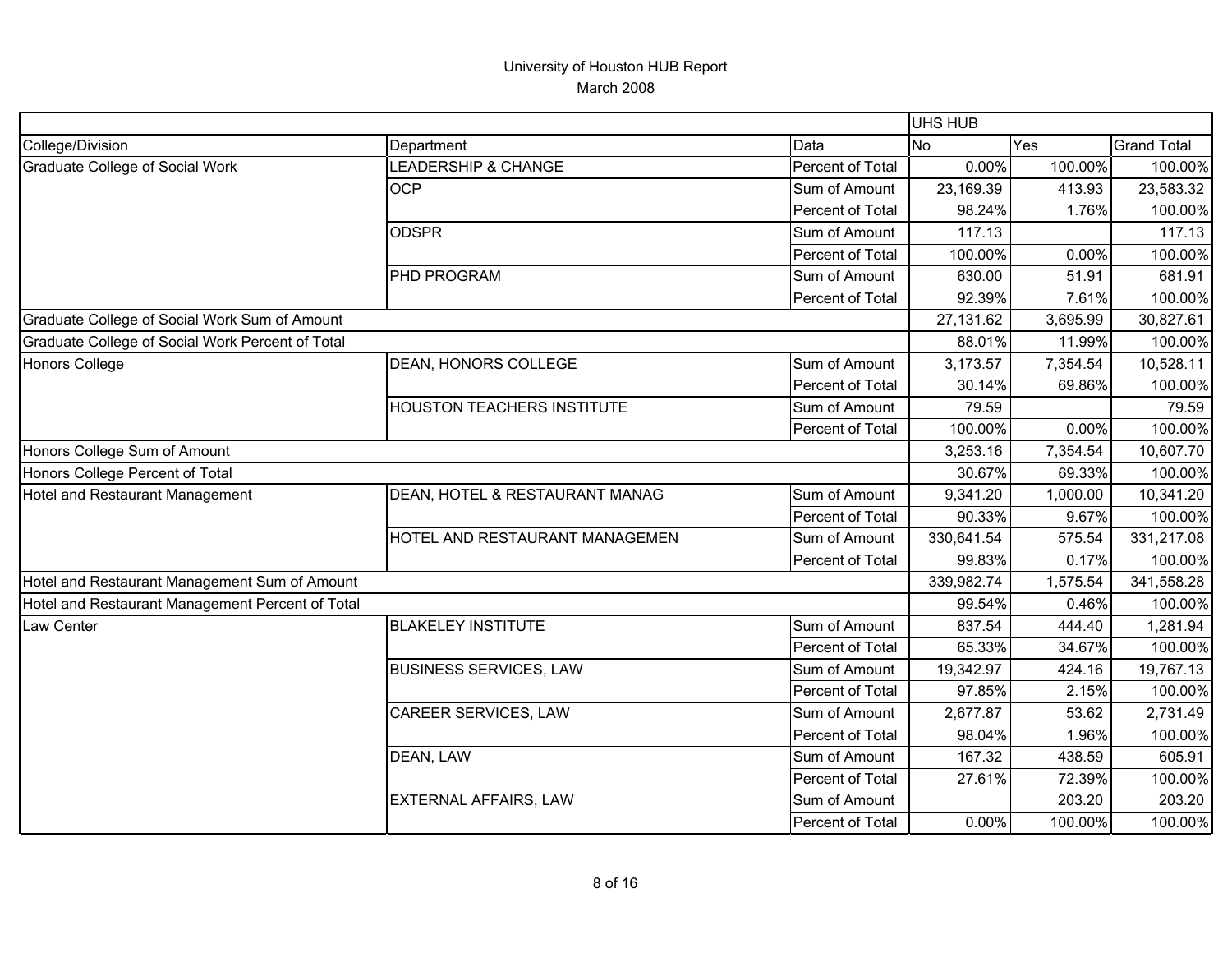|                                                  |                                   |                         | UHS HUB    |          |                    |
|--------------------------------------------------|-----------------------------------|-------------------------|------------|----------|--------------------|
| College/Division                                 | Department                        | Data                    | <b>No</b>  | Yes      | <b>Grand Total</b> |
| <b>Graduate College of Social Work</b>           | LEADERSHIP & CHANGE               | Percent of Total        | 0.00%      | 100.00%  | 100.00%            |
|                                                  | <b>OCP</b>                        | Sum of Amount           | 23,169.39  | 413.93   | 23,583.32          |
|                                                  |                                   | Percent of Total        | 98.24%     | 1.76%    | 100.00%            |
|                                                  | <b>ODSPR</b>                      | Sum of Amount           | 117.13     |          | 117.13             |
|                                                  |                                   | Percent of Total        | 100.00%    | 0.00%    | 100.00%            |
|                                                  | PHD PROGRAM                       | Sum of Amount           | 630.00     | 51.91    | 681.91             |
|                                                  |                                   | Percent of Total        | 92.39%     | 7.61%    | 100.00%            |
| Graduate College of Social Work Sum of Amount    |                                   |                         | 27,131.62  | 3,695.99 | 30,827.61          |
| Graduate College of Social Work Percent of Total |                                   |                         | 88.01%     | 11.99%   | 100.00%            |
| Honors College                                   | <b>DEAN, HONORS COLLEGE</b>       | Sum of Amount           | 3,173.57   | 7,354.54 | 10,528.11          |
|                                                  |                                   | Percent of Total        | 30.14%     | 69.86%   | 100.00%            |
|                                                  | <b>HOUSTON TEACHERS INSTITUTE</b> | Sum of Amount           | 79.59      |          | 79.59              |
|                                                  |                                   | <b>Percent of Total</b> | 100.00%    | 0.00%    | 100.00%            |
| Honors College Sum of Amount                     |                                   |                         | 3,253.16   | 7,354.54 | 10,607.70          |
| Honors College Percent of Total                  |                                   |                         | 30.67%     | 69.33%   | 100.00%            |
| Hotel and Restaurant Management                  | DEAN, HOTEL & RESTAURANT MANAG    | Sum of Amount           | 9,341.20   | 1,000.00 | 10,341.20          |
|                                                  |                                   | Percent of Total        | 90.33%     | 9.67%    | 100.00%            |
|                                                  | HOTEL AND RESTAURANT MANAGEMEN    | Sum of Amount           | 330,641.54 | 575.54   | 331,217.08         |
|                                                  |                                   | Percent of Total        | 99.83%     | 0.17%    | 100.00%            |
| Hotel and Restaurant Management Sum of Amount    |                                   |                         | 339,982.74 | 1,575.54 | 341,558.28         |
| Hotel and Restaurant Management Percent of Total |                                   |                         | 99.54%     | 0.46%    | 100.00%            |
| Law Center                                       | <b>BLAKELEY INSTITUTE</b>         | Sum of Amount           | 837.54     | 444.40   | 1,281.94           |
|                                                  |                                   | Percent of Total        | 65.33%     | 34.67%   | 100.00%            |
|                                                  | <b>BUSINESS SERVICES, LAW</b>     | Sum of Amount           | 19,342.97  | 424.16   | 19,767.13          |
|                                                  |                                   | Percent of Total        | 97.85%     | 2.15%    | 100.00%            |
|                                                  | CAREER SERVICES, LAW              | Sum of Amount           | 2,677.87   | 53.62    | 2,731.49           |
|                                                  |                                   | Percent of Total        | 98.04%     | 1.96%    | 100.00%            |
|                                                  | DEAN, LAW                         | Sum of Amount           | 167.32     | 438.59   | 605.91             |
|                                                  |                                   | Percent of Total        | 27.61%     | 72.39%   | 100.00%            |
|                                                  | EXTERNAL AFFAIRS, LAW             | Sum of Amount           |            | 203.20   | 203.20             |
|                                                  |                                   | Percent of Total        | 0.00%      | 100.00%  | 100.00%            |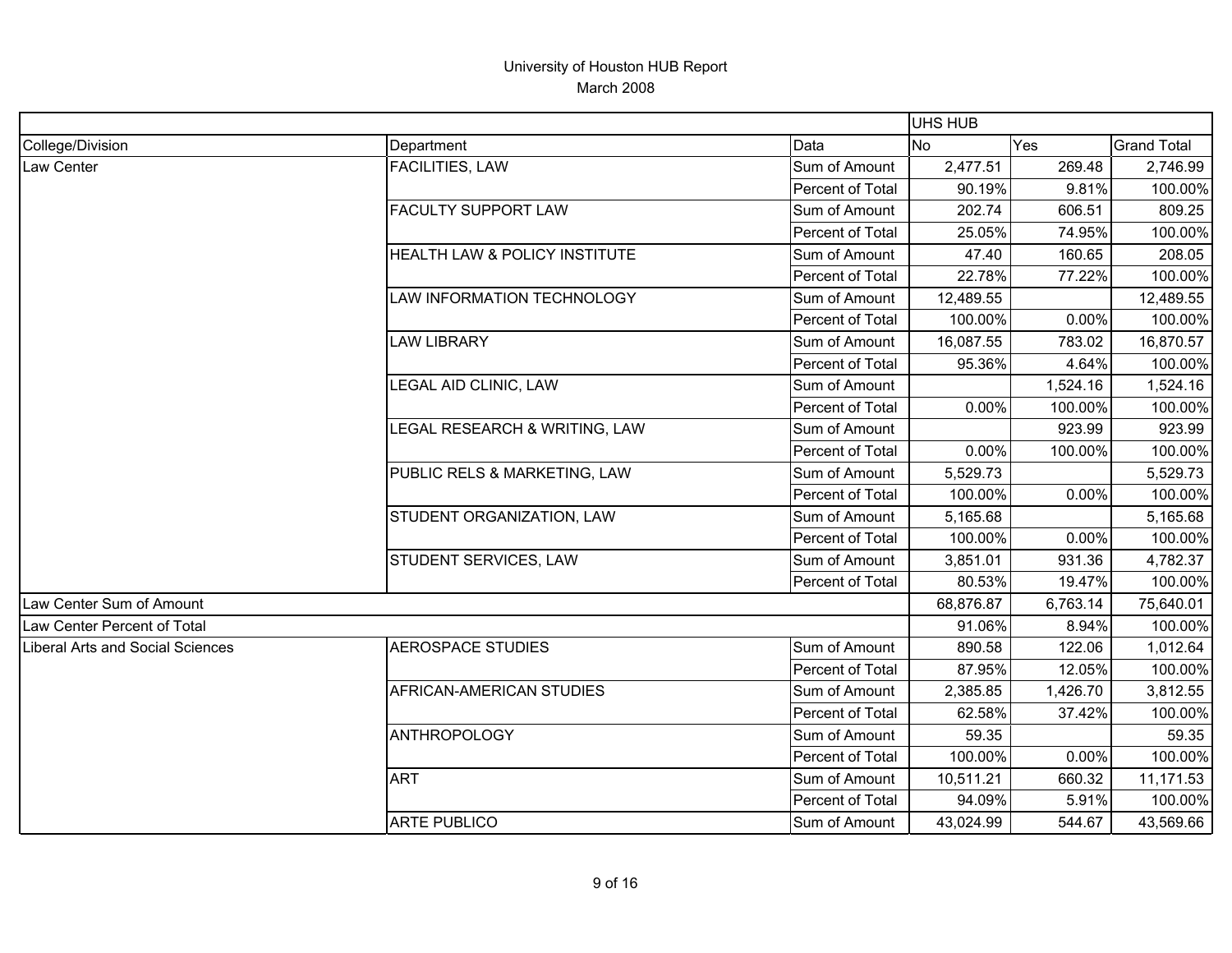|                                  |                               |                         | <b>UHS HUB</b> |          |                    |
|----------------------------------|-------------------------------|-------------------------|----------------|----------|--------------------|
| College/Division                 | Department                    | Data                    | <b>No</b>      | Yes      | <b>Grand Total</b> |
| Law Center                       | <b>FACILITIES, LAW</b>        | Sum of Amount           | 2,477.51       | 269.48   | 2,746.99           |
|                                  |                               | Percent of Total        | 90.19%         | 9.81%    | 100.00%            |
|                                  | <b>FACULTY SUPPORT LAW</b>    | Sum of Amount           | 202.74         | 606.51   | 809.25             |
|                                  |                               | Percent of Total        | 25.05%         | 74.95%   | 100.00%            |
|                                  | HEALTH LAW & POLICY INSTITUTE | Sum of Amount           | 47.40          | 160.65   | 208.05             |
|                                  |                               | Percent of Total        | 22.78%         | 77.22%   | 100.00%            |
|                                  | LAW INFORMATION TECHNOLOGY    | Sum of Amount           | 12,489.55      |          | 12,489.55          |
|                                  |                               | Percent of Total        | 100.00%        | 0.00%    | 100.00%            |
|                                  | <b>LAW LIBRARY</b>            | Sum of Amount           | 16,087.55      | 783.02   | 16,870.57          |
|                                  |                               | Percent of Total        | 95.36%         | 4.64%    | 100.00%            |
|                                  | LEGAL AID CLINIC, LAW         | Sum of Amount           |                | 1,524.16 | 1,524.16           |
|                                  |                               | Percent of Total        | 0.00%          | 100.00%  | 100.00%            |
|                                  | LEGAL RESEARCH & WRITING, LAW | Sum of Amount           |                | 923.99   | 923.99             |
|                                  |                               | Percent of Total        | 0.00%          | 100.00%  | 100.00%            |
|                                  | PUBLIC RELS & MARKETING, LAW  | Sum of Amount           | 5,529.73       |          | 5,529.73           |
|                                  |                               | Percent of Total        | 100.00%        | 0.00%    | 100.00%            |
|                                  | STUDENT ORGANIZATION, LAW     | Sum of Amount           | 5,165.68       |          | 5,165.68           |
|                                  |                               | Percent of Total        | 100.00%        | 0.00%    | 100.00%            |
|                                  | STUDENT SERVICES, LAW         | Sum of Amount           | 3,851.01       | 931.36   | 4,782.37           |
|                                  |                               | Percent of Total        | 80.53%         | 19.47%   | 100.00%            |
| Law Center Sum of Amount         |                               |                         | 68,876.87      | 6,763.14 | 75,640.01          |
| Law Center Percent of Total      |                               |                         | 91.06%         | 8.94%    | 100.00%            |
| Liberal Arts and Social Sciences | <b>AEROSPACE STUDIES</b>      | Sum of Amount           | 890.58         | 122.06   | 1,012.64           |
|                                  |                               | Percent of Total        | 87.95%         | 12.05%   | 100.00%            |
|                                  | AFRICAN-AMERICAN STUDIES      | Sum of Amount           | 2,385.85       | 1,426.70 | 3,812.55           |
|                                  |                               | <b>Percent of Total</b> | 62.58%         | 37.42%   | 100.00%            |
|                                  | <b>ANTHROPOLOGY</b>           | Sum of Amount           | 59.35          |          | 59.35              |
|                                  |                               | Percent of Total        | 100.00%        | 0.00%    | 100.00%            |
|                                  | <b>ART</b>                    | Sum of Amount           | 10,511.21      | 660.32   | 11,171.53          |
|                                  |                               | Percent of Total        | 94.09%         | 5.91%    | 100.00%            |
|                                  | <b>ARTE PUBLICO</b>           | Sum of Amount           | 43,024.99      | 544.67   | 43,569.66          |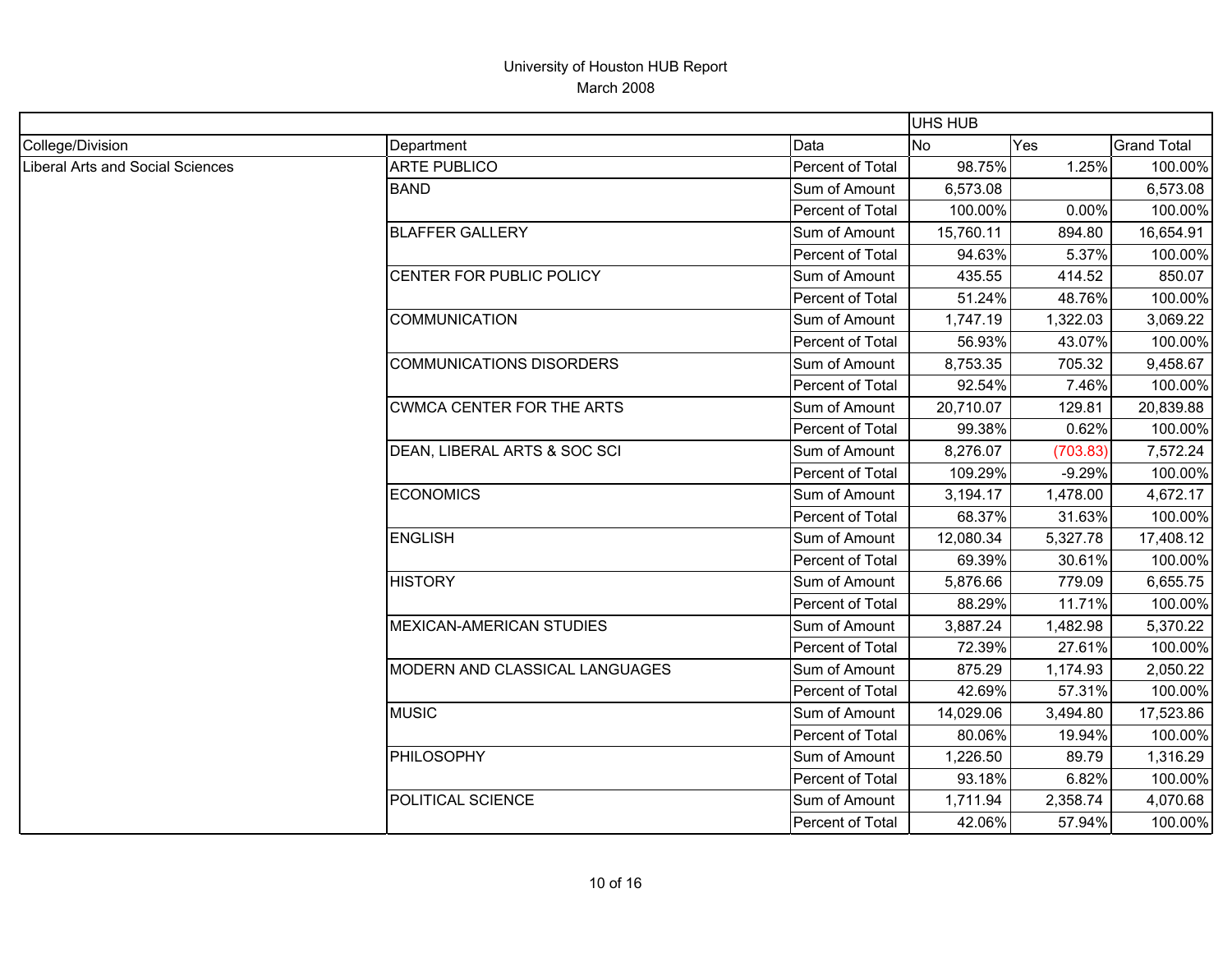|                                  |                                  |                  | <b>UHS HUB</b> |          |                    |
|----------------------------------|----------------------------------|------------------|----------------|----------|--------------------|
| College/Division                 | Department                       | Data             | No             | Yes      | <b>Grand Total</b> |
| Liberal Arts and Social Sciences | <b>ARTE PUBLICO</b>              | Percent of Total | 98.75%         | 1.25%    | 100.00%            |
|                                  | <b>BAND</b>                      | Sum of Amount    | 6,573.08       |          | 6,573.08           |
|                                  |                                  | Percent of Total | 100.00%        | 0.00%    | 100.00%            |
|                                  | <b>BLAFFER GALLERY</b>           | Sum of Amount    | 15,760.11      | 894.80   | 16,654.91          |
|                                  |                                  | Percent of Total | 94.63%         | 5.37%    | 100.00%            |
|                                  | CENTER FOR PUBLIC POLICY         | Sum of Amount    | 435.55         | 414.52   | 850.07             |
|                                  |                                  | Percent of Total | 51.24%         | 48.76%   | 100.00%            |
|                                  | <b>COMMUNICATION</b>             | Sum of Amount    | 1,747.19       | 1,322.03 | 3,069.22           |
|                                  |                                  | Percent of Total | 56.93%         | 43.07%   | 100.00%            |
|                                  | <b>COMMUNICATIONS DISORDERS</b>  | Sum of Amount    | 8,753.35       | 705.32   | 9,458.67           |
|                                  |                                  | Percent of Total | 92.54%         | 7.46%    | 100.00%            |
|                                  | <b>CWMCA CENTER FOR THE ARTS</b> | Sum of Amount    | 20,710.07      | 129.81   | 20,839.88          |
|                                  |                                  | Percent of Total | 99.38%         | 0.62%    | 100.00%            |
|                                  | DEAN, LIBERAL ARTS & SOC SCI     | Sum of Amount    | 8,276.07       | (703.83) | 7,572.24           |
|                                  |                                  | Percent of Total | 109.29%        | $-9.29%$ | 100.00%            |
|                                  | <b>ECONOMICS</b>                 | Sum of Amount    | 3,194.17       | 1,478.00 | 4,672.17           |
|                                  |                                  | Percent of Total | 68.37%         | 31.63%   | 100.00%            |
|                                  | <b>ENGLISH</b>                   | Sum of Amount    | 12,080.34      | 5,327.78 | 17,408.12          |
|                                  |                                  | Percent of Total | 69.39%         | 30.61%   | 100.00%            |
|                                  | <b>HISTORY</b>                   | Sum of Amount    | 5,876.66       | 779.09   | 6,655.75           |
|                                  |                                  | Percent of Total | 88.29%         | 11.71%   | 100.00%            |
|                                  | <b>MEXICAN-AMERICAN STUDIES</b>  | Sum of Amount    | 3,887.24       | 1,482.98 | 5,370.22           |
|                                  |                                  | Percent of Total | 72.39%         | 27.61%   | 100.00%            |
|                                  | MODERN AND CLASSICAL LANGUAGES   | Sum of Amount    | 875.29         | 1,174.93 | 2,050.22           |
|                                  |                                  | Percent of Total | 42.69%         | 57.31%   | 100.00%            |
|                                  | <b>MUSIC</b>                     | Sum of Amount    | 14,029.06      | 3,494.80 | 17,523.86          |
|                                  |                                  | Percent of Total | 80.06%         | 19.94%   | 100.00%            |
|                                  | PHILOSOPHY                       | Sum of Amount    | 1,226.50       | 89.79    | 1,316.29           |
|                                  |                                  | Percent of Total | 93.18%         | 6.82%    | 100.00%            |
|                                  | POLITICAL SCIENCE                | Sum of Amount    | 1,711.94       | 2,358.74 | 4,070.68           |
|                                  |                                  | Percent of Total | 42.06%         | 57.94%   | 100.00%            |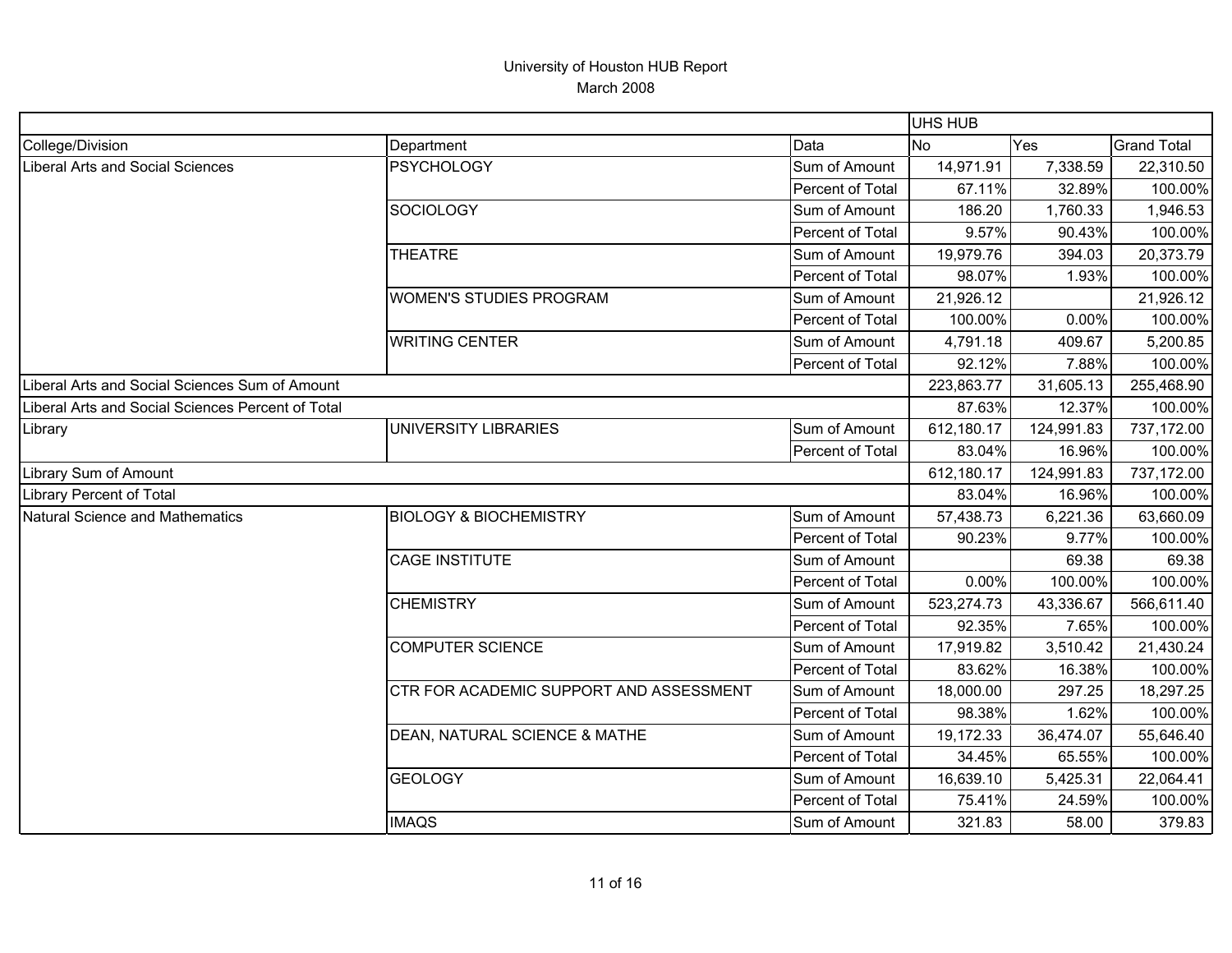|                                                   |                                          |                  | UHS HUB    |            |                    |
|---------------------------------------------------|------------------------------------------|------------------|------------|------------|--------------------|
| College/Division                                  | Department                               | Data             | <b>No</b>  | Yes        | <b>Grand Total</b> |
| <b>Liberal Arts and Social Sciences</b>           | <b>PSYCHOLOGY</b>                        | Sum of Amount    | 14,971.91  | 7,338.59   | 22,310.50          |
|                                                   |                                          | Percent of Total | 67.11%     | 32.89%     | 100.00%            |
|                                                   | <b>SOCIOLOGY</b>                         | Sum of Amount    | 186.20     | 1,760.33   | 1,946.53           |
|                                                   |                                          | Percent of Total | 9.57%      | 90.43%     | 100.00%            |
|                                                   | <b>THEATRE</b>                           | Sum of Amount    | 19,979.76  | 394.03     | 20,373.79          |
|                                                   |                                          | Percent of Total | 98.07%     | 1.93%      | 100.00%            |
|                                                   | <b>WOMEN'S STUDIES PROGRAM</b>           | Sum of Amount    | 21,926.12  |            | 21,926.12          |
|                                                   |                                          | Percent of Total | 100.00%    | 0.00%      | 100.00%            |
|                                                   | <b>WRITING CENTER</b>                    | Sum of Amount    | 4,791.18   | 409.67     | 5,200.85           |
|                                                   |                                          | Percent of Total | 92.12%     | 7.88%      | 100.00%            |
| Liberal Arts and Social Sciences Sum of Amount    |                                          |                  | 223,863.77 | 31,605.13  | 255,468.90         |
| Liberal Arts and Social Sciences Percent of Total |                                          |                  | 87.63%     | 12.37%     | 100.00%            |
| Library                                           | UNIVERSITY LIBRARIES                     | Sum of Amount    | 612,180.17 | 124,991.83 | 737,172.00         |
|                                                   |                                          | Percent of Total | 83.04%     | 16.96%     | 100.00%            |
| Library Sum of Amount                             |                                          |                  | 612,180.17 | 124,991.83 | 737,172.00         |
| <b>Library Percent of Total</b>                   |                                          |                  | 83.04%     | 16.96%     | 100.00%            |
| <b>Natural Science and Mathematics</b>            | <b>BIOLOGY &amp; BIOCHEMISTRY</b>        | Sum of Amount    | 57,438.73  | 6,221.36   | 63,660.09          |
|                                                   |                                          | Percent of Total | 90.23%     | 9.77%      | 100.00%            |
|                                                   | <b>CAGE INSTITUTE</b>                    | Sum of Amount    |            | 69.38      | 69.38              |
|                                                   |                                          | Percent of Total | 0.00%      | 100.00%    | 100.00%            |
|                                                   | <b>CHEMISTRY</b>                         | Sum of Amount    | 523,274.73 | 43,336.67  | 566,611.40         |
|                                                   |                                          | Percent of Total | 92.35%     | 7.65%      | 100.00%            |
|                                                   | <b>COMPUTER SCIENCE</b>                  | Sum of Amount    | 17,919.82  | 3,510.42   | 21,430.24          |
|                                                   |                                          | Percent of Total | 83.62%     | 16.38%     | 100.00%            |
|                                                   | CTR FOR ACADEMIC SUPPORT AND ASSESSMENT  | Sum of Amount    | 18,000.00  | 297.25     | 18,297.25          |
|                                                   |                                          | Percent of Total | 98.38%     | 1.62%      | 100.00%            |
|                                                   | <b>DEAN, NATURAL SCIENCE &amp; MATHE</b> | Sum of Amount    | 19,172.33  | 36,474.07  | 55,646.40          |
|                                                   |                                          | Percent of Total | 34.45%     | 65.55%     | 100.00%            |
|                                                   | <b>GEOLOGY</b>                           | Sum of Amount    | 16,639.10  | 5,425.31   | 22,064.41          |
|                                                   |                                          | Percent of Total | 75.41%     | 24.59%     | 100.00%            |
|                                                   | <b>IMAQS</b>                             | Sum of Amount    | 321.83     | 58.00      | 379.83             |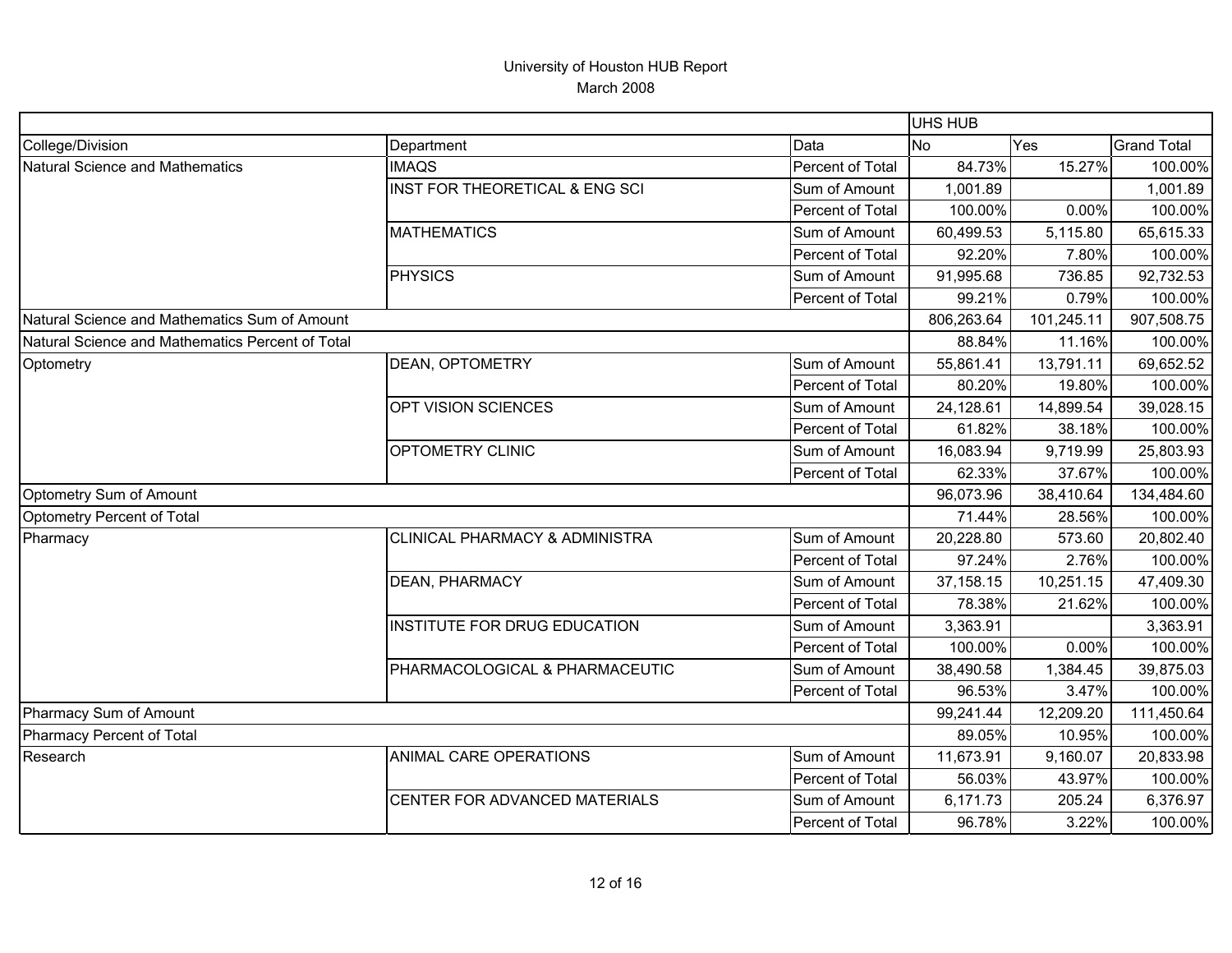|                                                  |                                |                  | UHS HUB    |            |                    |
|--------------------------------------------------|--------------------------------|------------------|------------|------------|--------------------|
| College/Division                                 | Department                     | Data             | <b>No</b>  | Yes        | <b>Grand Total</b> |
| Natural Science and Mathematics                  | <b>IMAQS</b>                   | Percent of Total | 84.73%     | 15.27%     | 100.00%            |
|                                                  | INST FOR THEORETICAL & ENG SCI | Sum of Amount    | 1,001.89   |            | 1,001.89           |
|                                                  |                                | Percent of Total | 100.00%    | 0.00%      | 100.00%            |
|                                                  | <b>MATHEMATICS</b>             | Sum of Amount    | 60,499.53  | 5,115.80   | 65,615.33          |
|                                                  |                                | Percent of Total | 92.20%     | 7.80%      | 100.00%            |
|                                                  | PHYSICS                        | Sum of Amount    | 91,995.68  | 736.85     | 92,732.53          |
|                                                  |                                | Percent of Total | 99.21%     | 0.79%      | 100.00%            |
| Natural Science and Mathematics Sum of Amount    |                                |                  | 806,263.64 | 101,245.11 | 907,508.75         |
| Natural Science and Mathematics Percent of Total |                                |                  | 88.84%     | 11.16%     | 100.00%            |
| Optometry                                        | DEAN, OPTOMETRY                | Sum of Amount    | 55,861.41  | 13,791.11  | 69,652.52          |
|                                                  |                                | Percent of Total | 80.20%     | 19.80%     | 100.00%            |
|                                                  | OPT VISION SCIENCES            | Sum of Amount    | 24,128.61  | 14,899.54  | 39,028.15          |
|                                                  |                                | Percent of Total | 61.82%     | 38.18%     | 100.00%            |
|                                                  | OPTOMETRY CLINIC               | Sum of Amount    | 16,083.94  | 9,719.99   | 25,803.93          |
|                                                  |                                | Percent of Total | 62.33%     | 37.67%     | 100.00%            |
| Optometry Sum of Amount                          |                                |                  | 96,073.96  | 38,410.64  | 134,484.60         |
| Optometry Percent of Total                       |                                |                  | 71.44%     | 28.56%     | 100.00%            |
| Pharmacy                                         | CLINICAL PHARMACY & ADMINISTRA | Sum of Amount    | 20,228.80  | 573.60     | 20,802.40          |
|                                                  |                                | Percent of Total | 97.24%     | 2.76%      | 100.00%            |
|                                                  | <b>DEAN, PHARMACY</b>          | Sum of Amount    | 37,158.15  | 10,251.15  | 47,409.30          |
|                                                  |                                | Percent of Total | 78.38%     | 21.62%     | 100.00%            |
|                                                  | INSTITUTE FOR DRUG EDUCATION   | Sum of Amount    | 3,363.91   |            | 3,363.91           |
|                                                  |                                | Percent of Total | 100.00%    | 0.00%      | 100.00%            |
|                                                  | PHARMACOLOGICAL & PHARMACEUTIC | Sum of Amount    | 38,490.58  | 1,384.45   | 39,875.03          |
|                                                  |                                | Percent of Total | 96.53%     | 3.47%      | 100.00%            |
| Pharmacy Sum of Amount                           |                                |                  | 99,241.44  | 12,209.20  | 111,450.64         |
| Pharmacy Percent of Total                        |                                |                  | 89.05%     | 10.95%     | 100.00%            |
| Research                                         | ANIMAL CARE OPERATIONS         | Sum of Amount    | 11,673.91  | 9,160.07   | 20,833.98          |
|                                                  |                                | Percent of Total | 56.03%     | 43.97%     | 100.00%            |
|                                                  | CENTER FOR ADVANCED MATERIALS  | Sum of Amount    | 6,171.73   | 205.24     | 6,376.97           |
|                                                  |                                | Percent of Total | 96.78%     | 3.22%      | 100.00%            |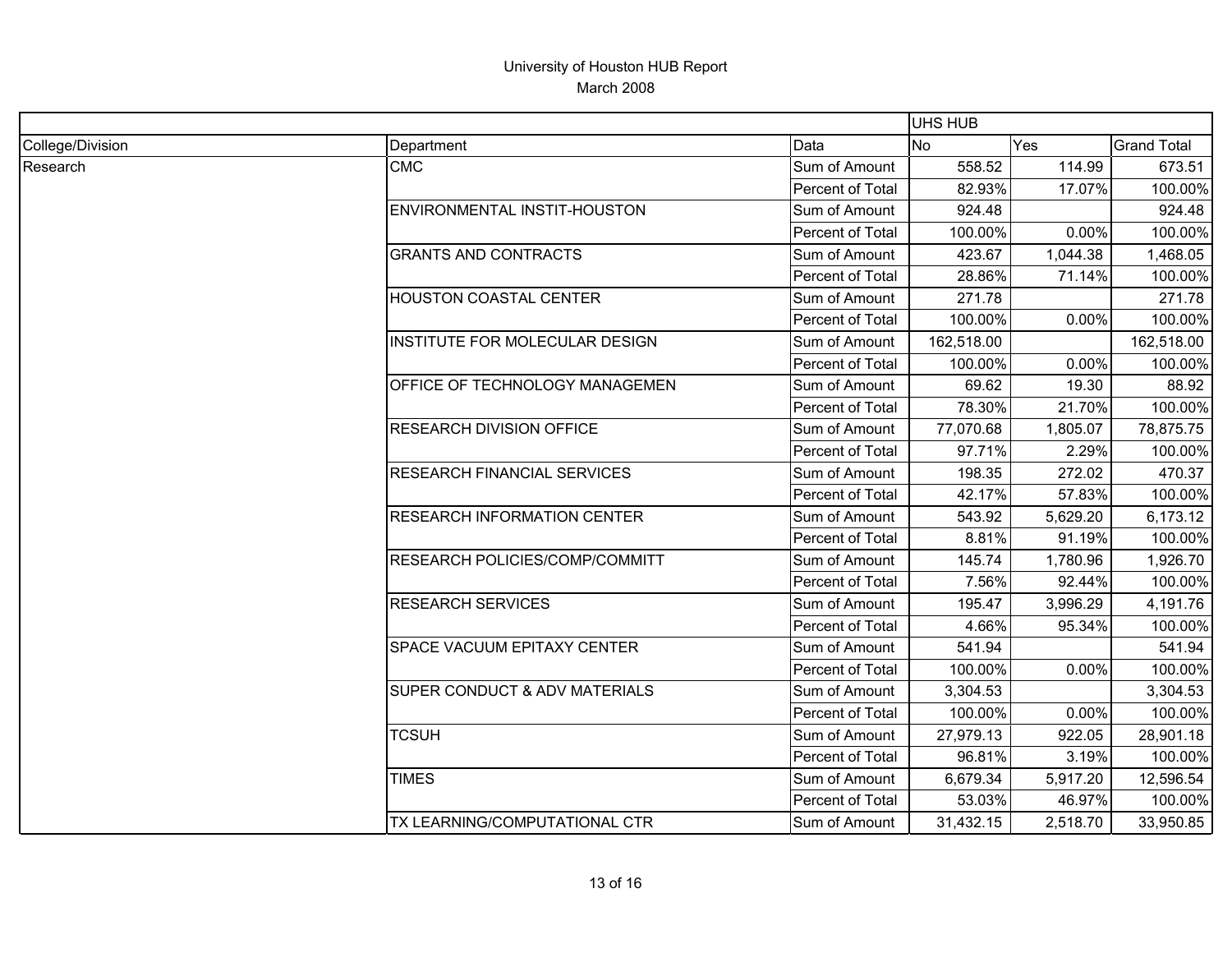|                  |                                    |                         | <b>UHS HUB</b> |          |                    |  |
|------------------|------------------------------------|-------------------------|----------------|----------|--------------------|--|
| College/Division | Department                         | Data                    | <b>No</b>      | Yes      | <b>Grand Total</b> |  |
| Research         | <b>CMC</b>                         | Sum of Amount           | 558.52         | 114.99   | 673.51             |  |
|                  |                                    | Percent of Total        | 82.93%         | 17.07%   | 100.00%            |  |
|                  | ENVIRONMENTAL INSTIT-HOUSTON       | Sum of Amount           | 924.48         |          | 924.48             |  |
|                  |                                    | Percent of Total        | 100.00%        | 0.00%    | 100.00%            |  |
|                  | <b>GRANTS AND CONTRACTS</b>        | Sum of Amount           | 423.67         | 1,044.38 | 1,468.05           |  |
|                  |                                    | Percent of Total        | 28.86%         | 71.14%   | 100.00%            |  |
|                  | HOUSTON COASTAL CENTER             | Sum of Amount           | 271.78         |          | 271.78             |  |
|                  |                                    | <b>Percent of Total</b> | 100.00%        | 0.00%    | 100.00%            |  |
|                  | INSTITUTE FOR MOLECULAR DESIGN     | Sum of Amount           | 162,518.00     |          | 162,518.00         |  |
|                  |                                    | Percent of Total        | 100.00%        | 0.00%    | 100.00%            |  |
|                  | OFFICE OF TECHNOLOGY MANAGEMEN     | Sum of Amount           | 69.62          | 19.30    | 88.92              |  |
|                  |                                    | Percent of Total        | 78.30%         | 21.70%   | 100.00%            |  |
|                  | RESEARCH DIVISION OFFICE           | Sum of Amount           | 77,070.68      | 1,805.07 | 78,875.75          |  |
|                  |                                    | Percent of Total        | 97.71%         | 2.29%    | 100.00%            |  |
|                  | <b>RESEARCH FINANCIAL SERVICES</b> | Sum of Amount           | 198.35         | 272.02   | 470.37             |  |
|                  |                                    | Percent of Total        | 42.17%         | 57.83%   | 100.00%            |  |
|                  | <b>RESEARCH INFORMATION CENTER</b> | Sum of Amount           | 543.92         | 5,629.20 | 6,173.12           |  |
|                  |                                    | Percent of Total        | 8.81%          | 91.19%   | 100.00%            |  |
|                  | RESEARCH POLICIES/COMP/COMMITT     | Sum of Amount           | 145.74         | 1,780.96 | 1,926.70           |  |
|                  |                                    | Percent of Total        | 7.56%          | 92.44%   | 100.00%            |  |
|                  | <b>RESEARCH SERVICES</b>           | Sum of Amount           | 195.47         | 3,996.29 | 4,191.76           |  |
|                  |                                    | Percent of Total        | 4.66%          | 95.34%   | 100.00%            |  |
|                  | SPACE VACUUM EPITAXY CENTER        | Sum of Amount           | 541.94         |          | 541.94             |  |
|                  |                                    | Percent of Total        | 100.00%        | 0.00%    | 100.00%            |  |
|                  | SUPER CONDUCT & ADV MATERIALS      | Sum of Amount           | 3,304.53       |          | 3,304.53           |  |
|                  |                                    | Percent of Total        | 100.00%        | 0.00%    | 100.00%            |  |
|                  | <b>TCSUH</b>                       | Sum of Amount           | 27,979.13      | 922.05   | 28,901.18          |  |
|                  |                                    | Percent of Total        | 96.81%         | 3.19%    | 100.00%            |  |
|                  | <b>TIMES</b>                       | Sum of Amount           | 6,679.34       | 5,917.20 | 12,596.54          |  |
|                  |                                    | Percent of Total        | 53.03%         | 46.97%   | 100.00%            |  |
|                  | TX LEARNING/COMPUTATIONAL CTR      | Sum of Amount           | 31,432.15      | 2,518.70 | 33,950.85          |  |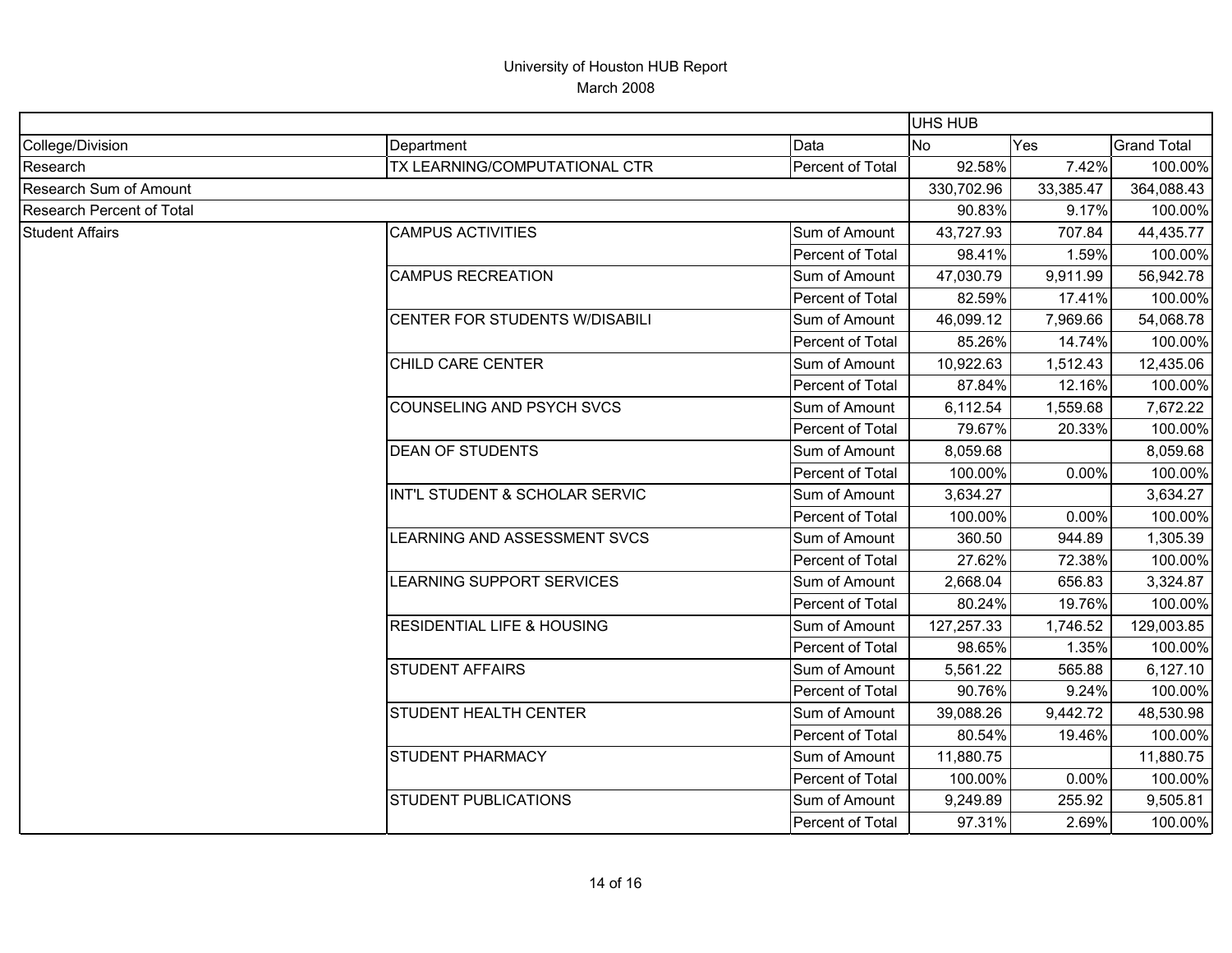|                           |                                       |                  | UHS HUB    |           |                    |
|---------------------------|---------------------------------------|------------------|------------|-----------|--------------------|
| College/Division          | Department                            | Data             | No.        | Yes       | <b>Grand Total</b> |
| Research                  | TX LEARNING/COMPUTATIONAL CTR         | Percent of Total | 92.58%     | 7.42%     | 100.00%            |
| Research Sum of Amount    |                                       |                  | 330,702.96 | 33,385.47 | 364,088.43         |
| Research Percent of Total |                                       |                  | 90.83%     | 9.17%     | 100.00%            |
| <b>Student Affairs</b>    | <b>CAMPUS ACTIVITIES</b>              | Sum of Amount    | 43,727.93  | 707.84    | 44,435.77          |
|                           |                                       | Percent of Total | 98.41%     | 1.59%     | 100.00%            |
|                           | <b>CAMPUS RECREATION</b>              | Sum of Amount    | 47,030.79  | 9,911.99  | 56,942.78          |
|                           |                                       | Percent of Total | 82.59%     | 17.41%    | 100.00%            |
|                           | CENTER FOR STUDENTS W/DISABILI        | Sum of Amount    | 46,099.12  | 7,969.66  | 54,068.78          |
|                           |                                       | Percent of Total | 85.26%     | 14.74%    | 100.00%            |
|                           | CHILD CARE CENTER                     | Sum of Amount    | 10,922.63  | 1,512.43  | 12,435.06          |
|                           |                                       | Percent of Total | 87.84%     | 12.16%    | 100.00%            |
|                           | <b>COUNSELING AND PSYCH SVCS</b>      | Sum of Amount    | 6,112.54   | 1,559.68  | 7,672.22           |
|                           |                                       | Percent of Total | 79.67%     | 20.33%    | 100.00%            |
|                           | <b>DEAN OF STUDENTS</b>               | Sum of Amount    | 8,059.68   |           | 8,059.68           |
|                           |                                       | Percent of Total | 100.00%    | 0.00%     | 100.00%            |
|                           | INT'L STUDENT & SCHOLAR SERVIC        | Sum of Amount    | 3,634.27   |           | 3,634.27           |
|                           |                                       | Percent of Total | 100.00%    | 0.00%     | 100.00%            |
|                           | LEARNING AND ASSESSMENT SVCS          | Sum of Amount    | 360.50     | 944.89    | 1,305.39           |
|                           |                                       | Percent of Total | 27.62%     | 72.38%    | 100.00%            |
|                           | <b>LEARNING SUPPORT SERVICES</b>      | Sum of Amount    | 2,668.04   | 656.83    | 3,324.87           |
|                           |                                       | Percent of Total | 80.24%     | 19.76%    | 100.00%            |
|                           | <b>RESIDENTIAL LIFE &amp; HOUSING</b> | Sum of Amount    | 127,257.33 | 1,746.52  | 129,003.85         |
|                           |                                       | Percent of Total | 98.65%     | 1.35%     | 100.00%            |
|                           | <b>STUDENT AFFAIRS</b>                | Sum of Amount    | 5,561.22   | 565.88    | 6,127.10           |
|                           |                                       | Percent of Total | 90.76%     | 9.24%     | 100.00%            |
|                           | STUDENT HEALTH CENTER                 | Sum of Amount    | 39,088.26  | 9,442.72  | 48,530.98          |
|                           |                                       | Percent of Total | 80.54%     | 19.46%    | 100.00%            |
|                           | <b>STUDENT PHARMACY</b>               | Sum of Amount    | 11,880.75  |           | 11,880.75          |
|                           |                                       | Percent of Total | 100.00%    | 0.00%     | 100.00%            |
|                           | <b>STUDENT PUBLICATIONS</b>           | Sum of Amount    | 9,249.89   | 255.92    | 9,505.81           |
|                           |                                       | Percent of Total | 97.31%     | 2.69%     | 100.00%            |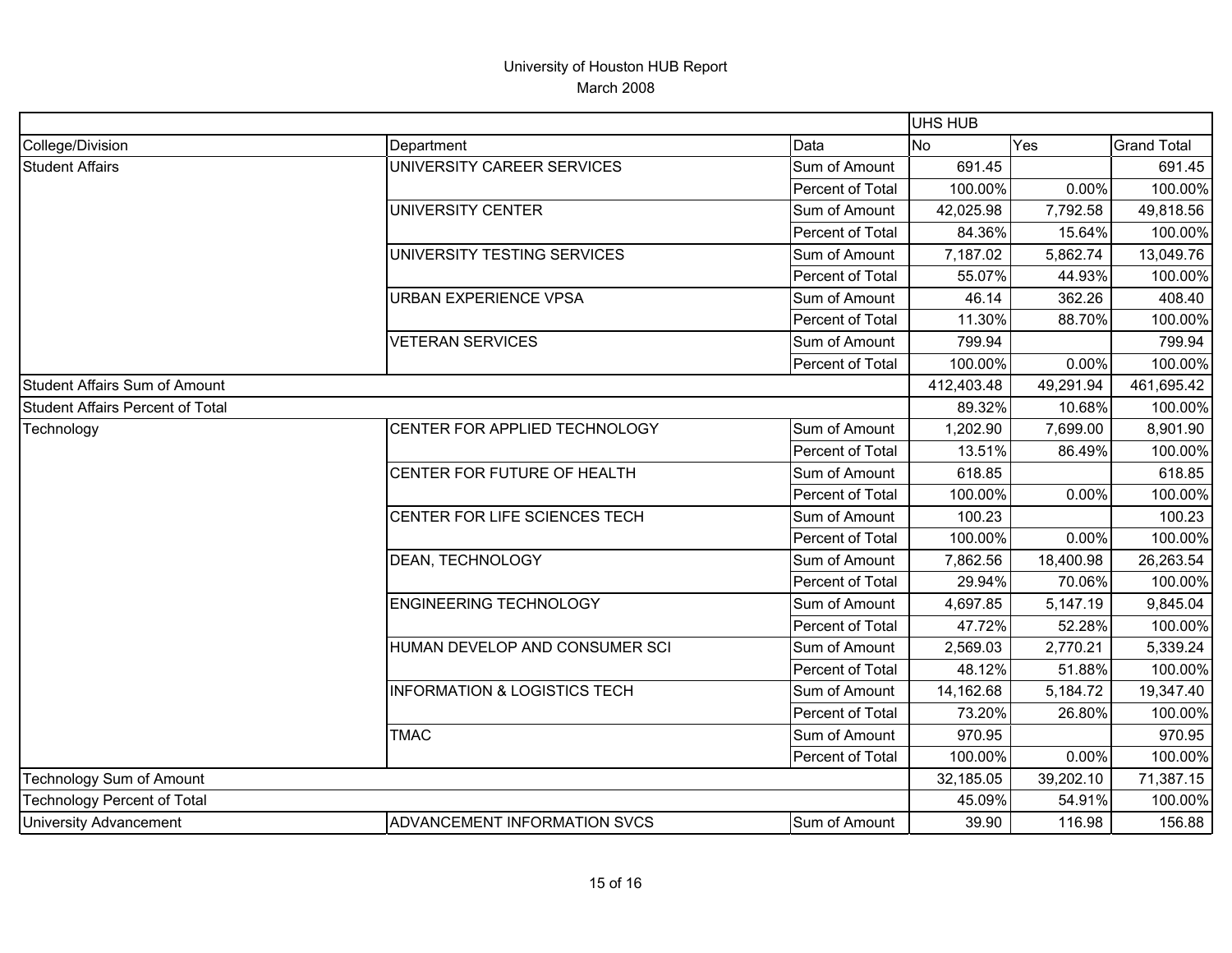|                                         |                                         |                         | UHS HUB    |           |                    |  |
|-----------------------------------------|-----------------------------------------|-------------------------|------------|-----------|--------------------|--|
| College/Division                        | Department                              | Data                    | <b>No</b>  | Yes       | <b>Grand Total</b> |  |
| <b>Student Affairs</b>                  | UNIVERSITY CAREER SERVICES              | Sum of Amount           | 691.45     |           | 691.45             |  |
|                                         |                                         | Percent of Total        | 100.00%    | 0.00%     | 100.00%            |  |
|                                         | UNIVERSITY CENTER                       | Sum of Amount           | 42,025.98  | 7,792.58  | 49,818.56          |  |
|                                         |                                         | Percent of Total        | 84.36%     | 15.64%    | 100.00%            |  |
|                                         | UNIVERSITY TESTING SERVICES             | Sum of Amount           | 7,187.02   | 5,862.74  | 13,049.76          |  |
|                                         |                                         | Percent of Total        | 55.07%     | 44.93%    | 100.00%            |  |
|                                         | <b>URBAN EXPERIENCE VPSA</b>            | Sum of Amount           | 46.14      | 362.26    | 408.40             |  |
|                                         |                                         | Percent of Total        | 11.30%     | 88.70%    | 100.00%            |  |
|                                         | <b>VETERAN SERVICES</b>                 | Sum of Amount           | 799.94     |           | 799.94             |  |
|                                         |                                         | Percent of Total        | 100.00%    | 0.00%     | 100.00%            |  |
| <b>Student Affairs Sum of Amount</b>    |                                         |                         | 412,403.48 | 49,291.94 | 461,695.42         |  |
| <b>Student Affairs Percent of Total</b> |                                         |                         | 89.32%     | 10.68%    | 100.00%            |  |
| Technology                              | CENTER FOR APPLIED TECHNOLOGY           | Sum of Amount           | 1,202.90   | 7,699.00  | 8,901.90           |  |
|                                         |                                         | Percent of Total        | 13.51%     | 86.49%    | 100.00%            |  |
|                                         | <b>CENTER FOR FUTURE OF HEALTH</b>      | Sum of Amount           | 618.85     |           | 618.85             |  |
|                                         |                                         | Percent of Total        | 100.00%    | 0.00%     | 100.00%            |  |
|                                         | CENTER FOR LIFE SCIENCES TECH           | Sum of Amount           | 100.23     |           | 100.23             |  |
|                                         |                                         | <b>Percent of Total</b> | 100.00%    | 0.00%     | 100.00%            |  |
|                                         | <b>DEAN, TECHNOLOGY</b>                 | Sum of Amount           | 7,862.56   | 18,400.98 | 26,263.54          |  |
|                                         |                                         | Percent of Total        | 29.94%     | 70.06%    | 100.00%            |  |
|                                         | <b>ENGINEERING TECHNOLOGY</b>           | Sum of Amount           | 4,697.85   | 5,147.19  | 9,845.04           |  |
|                                         |                                         | <b>Percent of Total</b> | 47.72%     | 52.28%    | 100.00%            |  |
|                                         | HUMAN DEVELOP AND CONSUMER SCI          | Sum of Amount           | 2,569.03   | 2,770.21  | 5,339.24           |  |
|                                         |                                         | Percent of Total        | 48.12%     | 51.88%    | 100.00%            |  |
|                                         | <b>INFORMATION &amp; LOGISTICS TECH</b> | Sum of Amount           | 14,162.68  | 5,184.72  | 19,347.40          |  |
|                                         |                                         | Percent of Total        | 73.20%     | 26.80%    | 100.00%            |  |
|                                         | <b>TMAC</b>                             | Sum of Amount           | 970.95     |           | 970.95             |  |
|                                         |                                         | Percent of Total        | 100.00%    | 0.00%     | 100.00%            |  |
| Technology Sum of Amount                |                                         | 32,185.05               | 39,202.10  | 71,387.15 |                    |  |
| <b>Technology Percent of Total</b>      |                                         |                         | 45.09%     | 54.91%    | 100.00%            |  |
| <b>University Advancement</b>           | <b>ADVANCEMENT INFORMATION SVCS</b>     | Sum of Amount           | 39.90      | 116.98    | 156.88             |  |